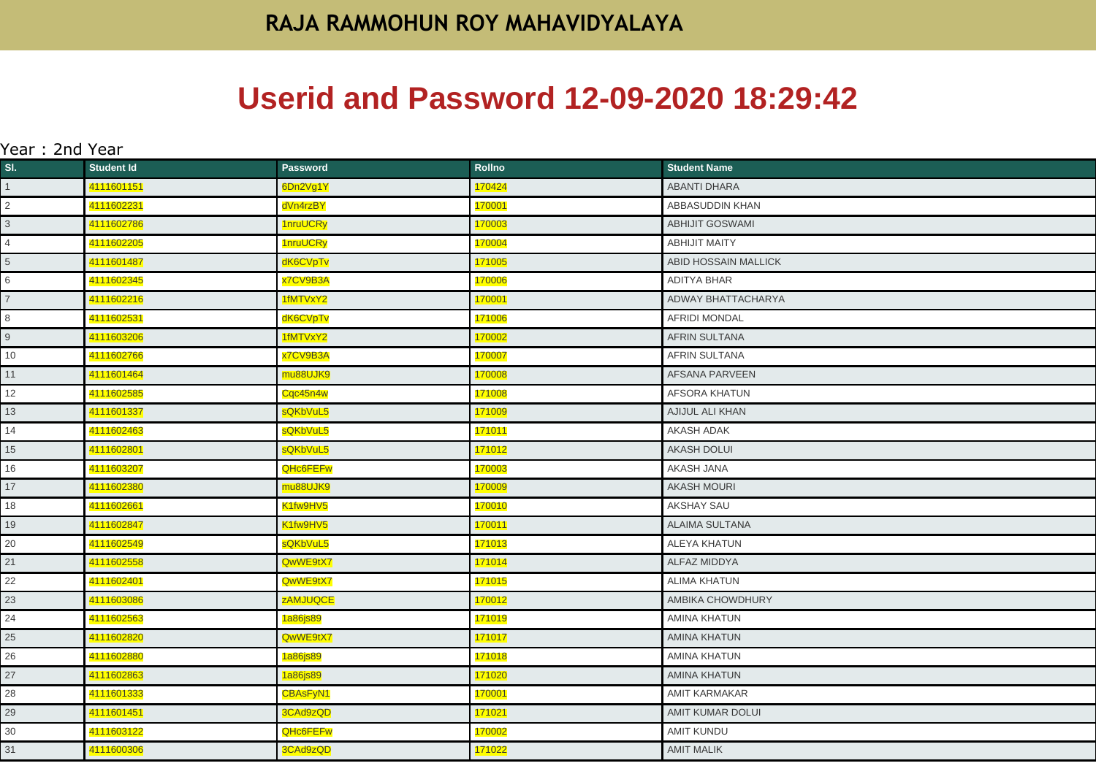## **Userid and Password 12-09-2020 18:29:42**

| Year : 2nd Year |                   |                 |               |                         |
|-----------------|-------------------|-----------------|---------------|-------------------------|
| SI.             | <b>Student Id</b> | <b>Password</b> | <b>Rollno</b> | <b>Student Name</b>     |
| $\mathbf{1}$    | 4111601151        | 6Dn2Vg1Y        | 170424        | <b>ABANTI DHARA</b>     |
| $\overline{2}$  | 4111602231        | dVn4rzBY        | 170001        | ABBASUDDIN KHAN         |
| $\overline{3}$  | 4111602786        | 1nruUCRy        | 170003        | <b>ABHIJIT GOSWAMI</b>  |
| $\overline{4}$  | 4111602205        | 1nruUCRy        | 170004        | <b>ABHIJIT MAITY</b>    |
| 5               | 4111601487        | dK6CVpTv        | 171005        | ABID HOSSAIN MALLICK    |
| 6               | 4111602345        | x7CV9B3A        | 170006        | ADITYA BHAR             |
| $\overline{7}$  | 4111602216        | 1fMTVxY2        | 170001        | ADWAY BHATTACHARYA      |
| 8               | 4111602531        | dK6CVpTv        | 171006        | <b>AFRIDI MONDAL</b>    |
| 9               | 4111603206        | 1fMTVxY2        | 170002        | <b>AFRIN SULTANA</b>    |
| 10              | 4111602766        | x7CV9B3A        | 170007        | <b>AFRIN SULTANA</b>    |
| 11              | 4111601464        | mu88UJK9        | 170008        | <b>AFSANA PARVEEN</b>   |
| 12              | 4111602585        | Cqc45n4w        | 171008        | AFSORA KHATUN           |
| 13              | 4111601337        | sQKbVuL5        | 171009        | AJIJUL ALI KHAN         |
| 14              | 4111602463        | sQKbVuL5        | 171011        | AKASH ADAK              |
| 15              | 4111602801        | sQKbVuL5        | 171012        | <b>AKASH DOLUI</b>      |
| 16              | 4111603207        | <b>QHc6FEFw</b> | 170003        | <b>AKASH JANA</b>       |
| 17              | 4111602380        | mu88UJK9        | 170009        | <b>AKASH MOURI</b>      |
| 18              | 4111602661        | K1fw9HV5        | 170010        | AKSHAY SAU              |
| 19              | 4111602847        | K1fw9HV5        | 170011        | <b>ALAIMA SULTANA</b>   |
| 20              | 4111602549        | sQKbVuL5        | 171013        | <b>ALEYA KHATUN</b>     |
| 21              | 4111602558        | QwWE9tX7        | 171014        | <b>ALFAZ MIDDYA</b>     |
| 22              | 4111602401        | QwWE9tX7        | 171015        | ALIMA KHATUN            |
| 23              | 4111603086        | zAMJUQCE        | 170012        | AMBIKA CHOWDHURY        |
| 24              | 4111602563        | 1a86js89        | 171019        | <b>AMINA KHATUN</b>     |
| 25              | 4111602820        | QwWE9tX7        | 171017        | <b>AMINA KHATUN</b>     |
| 26              | 4111602880        | 1a86js89        | 171018        | <b>AMINA KHATUN</b>     |
| 27              | 4111602863        | 1a86js89        | 171020        | <b>AMINA KHATUN</b>     |
| 28              | 4111601333        | <b>CBAsFyN1</b> | 170001        | <b>AMIT KARMAKAR</b>    |
| 29              | 4111601451        | 3CAd9zQD        | 171021        | <b>AMIT KUMAR DOLUI</b> |
| 30              | 4111603122        | QHc6FEFw        | 170002        | <b>AMIT KUNDU</b>       |
| 31              | 4111600306        | 3CAd9zQD        | 171022        | <b>AMIT MALIK</b>       |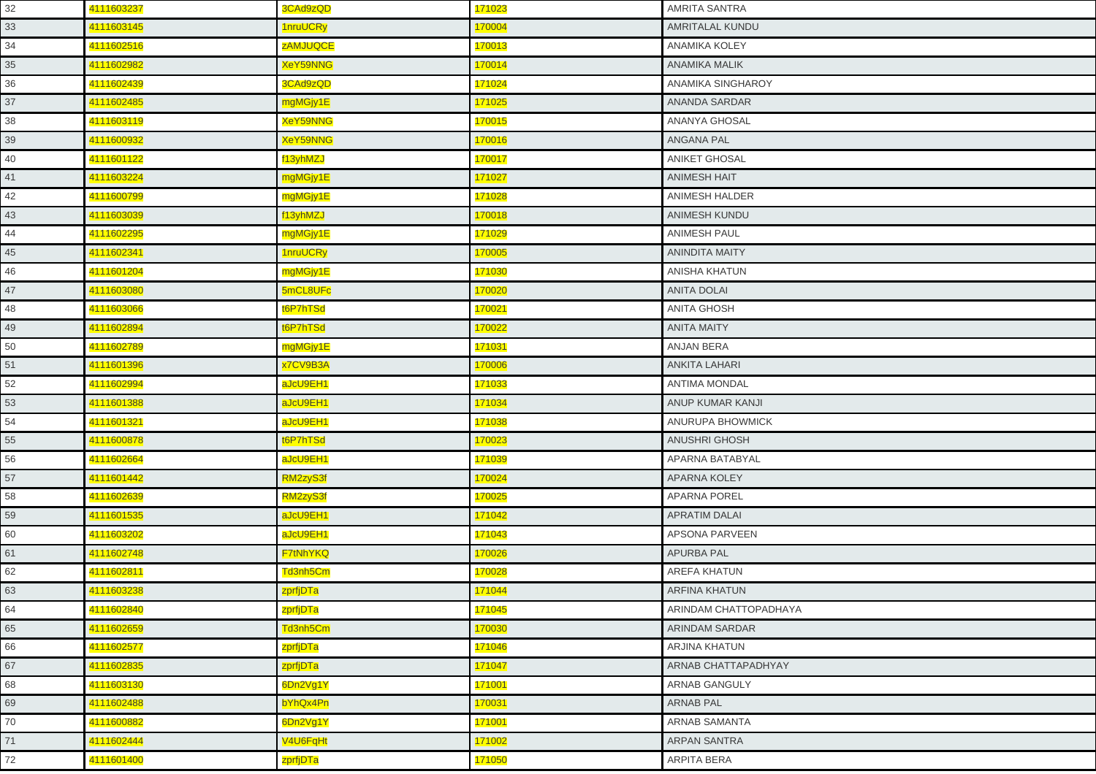| 32 | 4111603237 | 3CAd9zQD        | 171023        | <b>AMRITA SANTRA</b>  |
|----|------------|-----------------|---------------|-----------------------|
| 33 | 4111603145 | 1nruUCRy        | 170004        | AMRITALAL KUNDU       |
| 34 | 4111602516 | <b>ZAMJUQCE</b> | 170013        | ANAMIKA KOLEY         |
| 35 | 4111602982 | <b>XeY59NNG</b> | 170014        | <b>ANAMIKA MALIK</b>  |
| 36 | 4111602439 | 3CAd9zQD        | 171024        | ANAMIKA SINGHAROY     |
| 37 | 4111602485 | mgMGjy1E        | 171025        | ANANDA SARDAR         |
| 38 | 4111603119 | XeY59NNG        | 170015        | ANANYA GHOSAL         |
| 39 | 4111600932 | XeY59NNG        | 170016        | ANGANA PAL            |
| 40 | 4111601122 | f13yhMZJ        | 170017        | <b>ANIKET GHOSAL</b>  |
| 41 | 4111603224 | mgMGjy1E        | 171027        | <b>ANIMESH HAIT</b>   |
| 42 | 4111600799 | mgMGjy1E        | 171028        | ANIMESH HALDER        |
| 43 | 4111603039 | f13yhMZJ        | 170018        | ANIMESH KUNDU         |
| 44 | 4111602295 | mgMGjy1E        | 171029        | <b>ANIMESH PAUL</b>   |
| 45 | 4111602341 | 1nruUCRy        | 170005        | <b>ANINDITA MAITY</b> |
| 46 | 4111601204 | mgMGjy1E        | 171030        | <b>ANISHA KHATUN</b>  |
| 47 | 4111603080 | 5mCL8UFc        | 170020        | <b>ANITA DOLAI</b>    |
| 48 | 4111603066 | t6P7hTSd        | 170021        | <b>ANITA GHOSH</b>    |
| 49 | 4111602894 | t6P7hTSd        | 170022        | <b>ANITA MAITY</b>    |
| 50 | 4111602789 | mgMGjy1E        | 171031        | ANJAN BERA            |
| 51 | 4111601396 | x7CV9B3A        | 170006        | <b>ANKITA LAHARI</b>  |
| 52 | 4111602994 | aJcU9EH1        | 171033        | <b>ANTIMA MONDAL</b>  |
| 53 | 4111601388 | aJcU9EH1        | 171034        | ANUP KUMAR KANJI      |
| 54 | 4111601321 | aJcU9EH1        | 171038        | ANURUPA BHOWMICK      |
| 55 | 4111600878 | t6P7hTSd        | 170023        | <b>ANUSHRI GHOSH</b>  |
| 56 | 4111602664 | aJcU9EH1        | 171039        | APARNA BATABYAL       |
| 57 | 4111601442 | RM2zyS3f        | 170024        | <b>APARNA KOLEY</b>   |
| 58 | 4111602639 | RM2zyS3f        | 170025        | <b>APARNA POREL</b>   |
| 59 | 4111601535 | aJcU9EH1        | 171042        | <b>APRATIM DALAI</b>  |
| 60 | 4111603202 | aJcU9EH1        | 171043        | APSONA PARVEEN        |
| 61 | 4111602748 | F7tNhYKQ        | 170026        | <b>APURBA PAL</b>     |
| 62 | 4111602811 | Td3nh5Cm        | 170028        | <b>AREFA KHATUN</b>   |
| 63 | 4111603238 | zprfjDTa        | 171044        | <b>ARFINA KHATUN</b>  |
| 64 | 4111602840 | zprfjDTa        | 171045        | ARINDAM CHATTOPADHAYA |
| 65 | 4111602659 | Td3nh5Cm        | 170030        | ARINDAM SARDAR        |
| 66 | 4111602577 | zprfjDTa        | 171046        | <b>ARJINA KHATUN</b>  |
| 67 | 4111602835 | zprfjDTa        | 171047        | ARNAB CHATTAPADHYAY   |
| 68 | 4111603130 | 6Dn2Vg1Y        | 171001        | ARNAB GANGULY         |
| 69 | 4111602488 | bYhQx4Pn        | 170031        | <b>ARNAB PAL</b>      |
| 70 | 4111600882 | 6Dn2Vg1Y        | <b>171001</b> | ARNAB SAMANTA         |
| 71 | 4111602444 | V4U6FqHt        | 171002        | <b>ARPAN SANTRA</b>   |
| 72 | 4111601400 | zprfjDTa        | 171050        | <b>ARPITA BERA</b>    |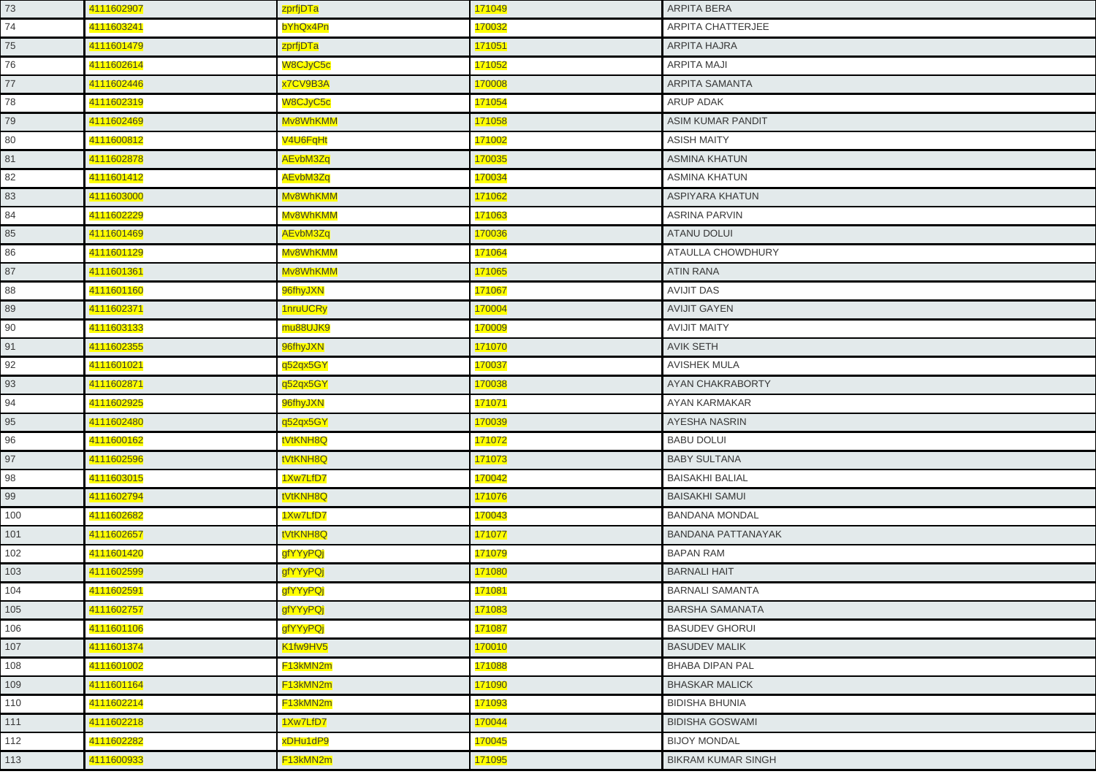| 73  | 4111602907 | zprfjDTa | 171049        | <b>ARPITA BERA</b>        |
|-----|------------|----------|---------------|---------------------------|
| 74  | 4111603241 | bYhQx4Pn | 170032        | ARPITA CHATTERJEE         |
| 75  | 4111601479 | zprfjDTa | 171051        | ARPITA HAJRA              |
| 76  | 4111602614 | W8CJyC5c | 171052        | <b>ARPITA MAJI</b>        |
| 77  | 4111602446 | x7CV9B3A | 170008        | <b>ARPITA SAMANTA</b>     |
| 78  | 4111602319 | W8CJyC5c | 171054        | ARUP ADAK                 |
| 79  | 4111602469 | Mv8WhKMM | 171058        | ASIM KUMAR PANDIT         |
| 80  | 4111600812 | V4U6FqHt | 171002        | <b>ASISH MAITY</b>        |
| 81  | 4111602878 | AEvbM3Zq | 170035        | <b>ASMINA KHATUN</b>      |
| 82  | 4111601412 | AEvbM3Zq | 170034        | <b>ASMINA KHATUN</b>      |
| 83  | 4111603000 | Mv8WhKMM | 171062        | <b>ASPIYARA KHATUN</b>    |
| 84  | 4111602229 | Mv8WhKMM | 171063        | <b>ASRINA PARVIN</b>      |
| 85  | 4111601469 | AEvbM3Zq | 170036        | <b>ATANU DOLUI</b>        |
| 86  | 4111601129 | Mv8WhKMM | 171064        | ATAULLA CHOWDHURY         |
| 87  | 4111601361 | Mv8WhKMM | 171065        | <b>ATIN RANA</b>          |
| 88  | 4111601160 | 96fhyJXN | 171067        | <b>AVIJIT DAS</b>         |
| 89  | 4111602371 | 1nruUCRy | 170004        | <b>AVIJIT GAYEN</b>       |
| 90  | 4111603133 | mu88UJK9 | 170009        | <b>AVIJIT MAITY</b>       |
| 91  | 4111602355 | 96fhyJXN | 171070        | <b>AVIK SETH</b>          |
| 92  | 4111601021 | q52qx5GY | 170037        | <b>AVISHEK MULA</b>       |
| 93  | 4111602871 | q52qx5GY | 170038        | AYAN CHAKRABORTY          |
| 94  | 4111602925 | 96fhyJXN | <b>171071</b> | AYAN KARMAKAR             |
| 95  | 4111602480 | q52qx5GY | 170039        | AYESHA NASRIN             |
| 96  | 4111600162 | tVtKNH8Q | 171072        | <b>BABU DOLUI</b>         |
| 97  | 4111602596 | tVtKNH8Q | 171073        | <b>BABY SULTANA</b>       |
| 98  | 4111603015 | 1Xw7LfD7 | 170042        | <b>BAISAKHI BALIAL</b>    |
| 99  | 4111602794 | tVtKNH8Q | 171076        | <b>BAISAKHI SAMUI</b>     |
| 100 | 4111602682 | 1Xw7LfD7 | 170043        | <b>BANDANA MONDAL</b>     |
| 101 | 4111602657 | tVtKNH8Q | 171077        | <b>BANDANA PATTANAYAK</b> |
| 102 | 4111601420 | gfYYyPQj | 171079        | <b>BAPAN RAM</b>          |
| 103 | 4111602599 | gfYYyPQj | 171080        | <b>BARNALI HAIT</b>       |
| 104 | 4111602591 | gfYYyPQj | 171081        | <b>BARNALI SAMANTA</b>    |
| 105 | 4111602757 | gfYYyPQj | 171083        | <b>BARSHA SAMANATA</b>    |
| 106 | 4111601106 | gfYYyPQj | 171087        | <b>BASUDEV GHORUI</b>     |
| 107 | 4111601374 | K1fw9HV5 | 170010        | <b>BASUDEV MALIK</b>      |
| 108 | 4111601002 | F13kMN2m | 171088        | <b>BHABA DIPAN PAL</b>    |
| 109 | 4111601164 | F13kMN2m | 171090        | <b>BHASKAR MALICK</b>     |
| 110 | 4111602214 | F13kMN2m | 171093        | <b>BIDISHA BHUNIA</b>     |
| 111 | 4111602218 | 1Xw7LfD7 | 170044        | <b>BIDISHA GOSWAMI</b>    |
| 112 | 4111602282 | xDHu1dP9 | 170045        | <b>BIJOY MONDAL</b>       |
| 113 | 4111600933 | F13kMN2m | 171095        | <b>BIKRAM KUMAR SINGH</b> |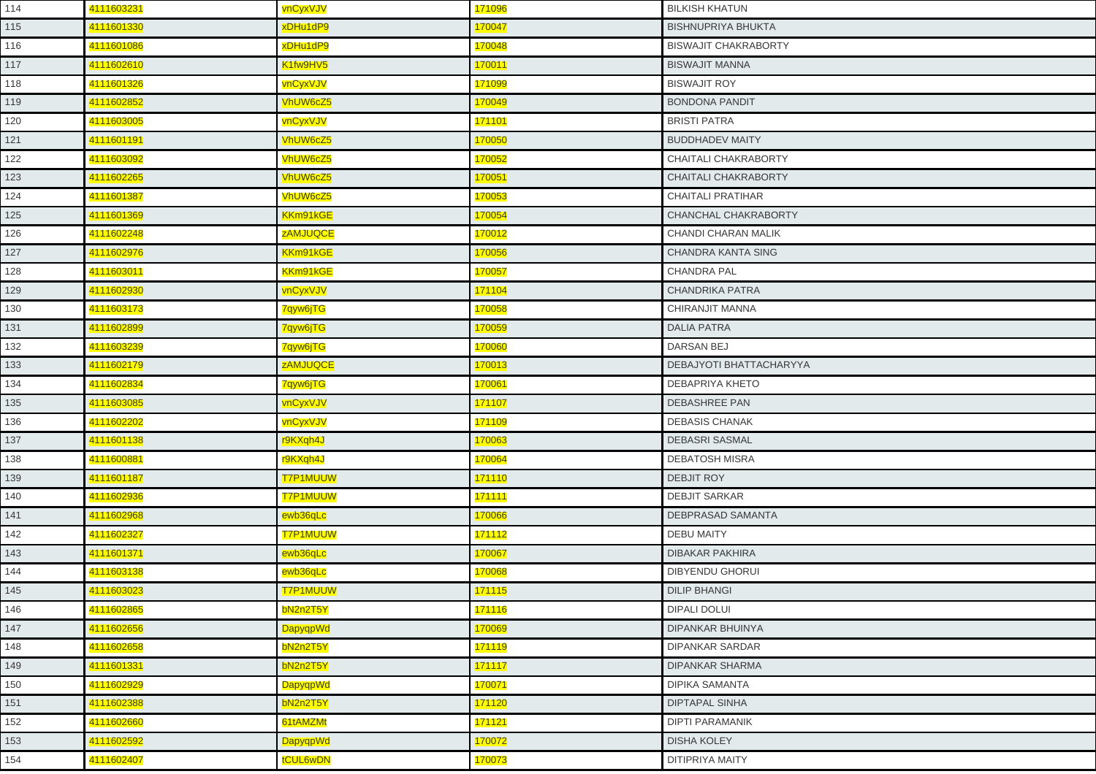| 114 | 4111603231 | vnCyxVJV        | 171096        | <b>BILKISH KHATUN</b>       |
|-----|------------|-----------------|---------------|-----------------------------|
| 115 | 4111601330 | xDHu1dP9        | 170047        | <b>BISHNUPRIYA BHUKTA</b>   |
| 116 | 4111601086 | xDHu1dP9        | 170048        | <b>BISWAJIT CHAKRABORTY</b> |
| 117 | 4111602610 | K1fw9HV5        | 170011        | <b>BISWAJIT MANNA</b>       |
| 118 | 4111601326 | vnCyxVJV        | 171099        | <b>BISWAJIT ROY</b>         |
| 119 | 4111602852 | VhUW6cZ5        | 170049        | <b>BONDONA PANDIT</b>       |
| 120 | 4111603005 | vnCyxVJV        | 171101        | <b>BRISTI PATRA</b>         |
| 121 | 4111601191 | VhUW6cZ5        | 170050        | <b>BUDDHADEV MAITY</b>      |
| 122 | 4111603092 | VhUW6cZ5        | 170052        | CHAITALI CHAKRABORTY        |
| 123 | 4111602265 | <b>VhUW6cZ5</b> | 170051        | <b>CHAITALI CHAKRABORTY</b> |
| 124 | 4111601387 | <b>VhUW6cZ5</b> | 170053        | <b>CHAITALI PRATIHAR</b>    |
| 125 | 4111601369 | KKm91kGE        | 170054        | CHANCHAL CHAKRABORTY        |
| 126 | 4111602248 | <b>ZAMJUQCE</b> | 170012        | CHANDI CHARAN MALIK         |
| 127 | 4111602976 | KKm91kGE        | 170056        | <b>CHANDRA KANTA SING</b>   |
| 128 | 4111603011 | KKm91kGE        | 170057        | <b>CHANDRA PAL</b>          |
| 129 | 4111602930 | vnCyxVJV        | 171104        | <b>CHANDRIKA PATRA</b>      |
| 130 | 4111603173 | 7qyw6jTG        | 170058        | CHIRANJIT MANNA             |
| 131 | 4111602899 | 7qyw6jTG        | 170059        | <b>DALIA PATRA</b>          |
| 132 | 4111603239 | 7qyw6jTG        | 170060        | DARSAN BEJ                  |
| 133 | 4111602179 | <b>ZAMJUQCE</b> | 170013        | DEBAJYOTI BHATTACHARYYA     |
| 134 | 4111602834 | 7qyw6jTG        | 170061        | DEBAPRIYA KHETO             |
| 135 | 4111603085 | vnCyxVJV        | 171107        | DEBASHREE PAN               |
| 136 | 4111602202 | vnCyxVJV        | 171109        | <b>DEBASIS CHANAK</b>       |
| 137 | 4111601138 | r9KXqh4J        | 170063        | <b>DEBASRI SASMAL</b>       |
| 138 | 4111600881 | r9KXqh4J        | 170064        | <b>DEBATOSH MISRA</b>       |
| 139 | 4111601187 | <b>T7P1MUUW</b> | 171110        | DEBJIT ROY                  |
| 140 | 4111602936 | <b>T7P1MUUW</b> | <b>171111</b> | <b>DEBJIT SARKAR</b>        |
| 141 | 4111602968 | ewb36qLc        | 170066        | <b>DEBPRASAD SAMANTA</b>    |
| 142 | 4111602327 | <b>T7P1MUUW</b> | 171112        | <b>DEBU MAITY</b>           |
| 143 | 4111601371 | ewb36qLc        | 170067        | <b>DIBAKAR PAKHIRA</b>      |
| 144 | 4111603138 | ewb36qLc        | 170068        | <b>DIBYENDU GHORUI</b>      |
| 145 | 4111603023 | <b>T7P1MUUW</b> | 171115        | <b>DILIP BHANGI</b>         |
| 146 | 4111602865 | bN2n2T5Y        | 171116        | <b>DIPALI DOLUI</b>         |
| 147 | 4111602656 | DapyqpWd        | 170069        | <b>DIPANKAR BHUINYA</b>     |
| 148 | 4111602658 | bN2n2T5Y        | 171119        | <b>DIPANKAR SARDAR</b>      |
| 149 | 4111601331 | bN2n2T5Y        | 171117        | <b>DIPANKAR SHARMA</b>      |
| 150 | 4111602929 | <b>DapyqpWd</b> | 170071        | <b>DIPIKA SAMANTA</b>       |
| 151 | 4111602388 | bN2n2T5Y        | 171120        | <b>DIPTAPAL SINHA</b>       |
| 152 | 4111602660 | 61tAMZMt        | 171121        | <b>DIPTI PARAMANIK</b>      |
| 153 | 4111602592 | <b>DapyqpWd</b> | 170072        | <b>DISHA KOLEY</b>          |
| 154 | 4111602407 | tCUL6wDN        | 170073        | <b>DITIPRIYA MAITY</b>      |
|     |            |                 |               |                             |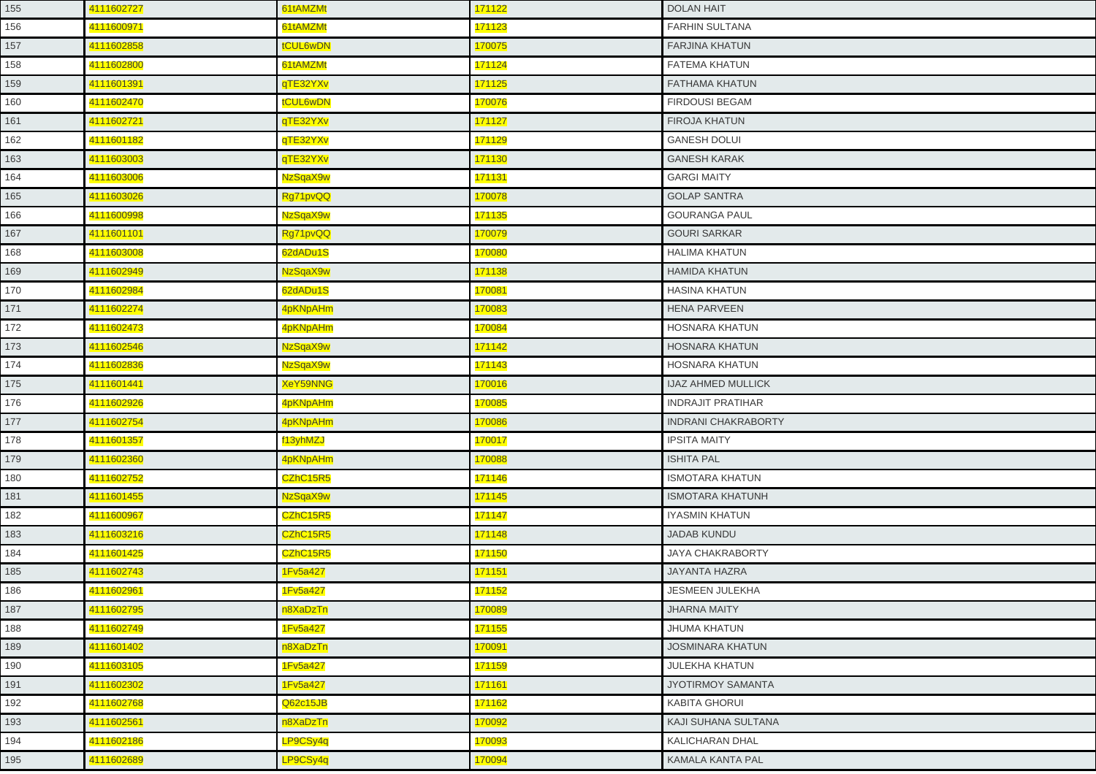| 155 | 4111602727 | 61tAMZMt | 171122 | <b>DOLAN HAIT</b>          |
|-----|------------|----------|--------|----------------------------|
| 156 | 4111600971 | 61tAMZMt | 171123 | <b>FARHIN SULTANA</b>      |
| 157 | 4111602858 | tCUL6wDN | 170075 | <b>FARJINA KHATUN</b>      |
| 158 | 4111602800 | 61tAMZMt | 171124 | FATEMA KHATUN              |
| 159 | 4111601391 | qTE32YXv | 171125 | FATHAMA KHATUN             |
| 160 | 4111602470 | tCUL6wDN | 170076 | <b>FIRDOUSI BEGAM</b>      |
| 161 | 4111602721 | qTE32YXv | 171127 | <b>FIROJA KHATUN</b>       |
| 162 | 4111601182 | qTE32YXv | 171129 | <b>GANESH DOLUI</b>        |
| 163 | 4111603003 | qTE32YXv | 171130 | <b>GANESH KARAK</b>        |
| 164 | 4111603006 | NzSqaX9w | 171131 | <b>GARGI MAITY</b>         |
| 165 | 4111603026 | Rg71pvQQ | 170078 | <b>GOLAP SANTRA</b>        |
| 166 | 4111600998 | NzSqaX9w | 171135 | <b>GOURANGA PAUL</b>       |
| 167 | 4111601101 | Rg71pvQQ | 170079 | <b>GOURI SARKAR</b>        |
| 168 | 4111603008 | 62dADu1S | 170080 | <b>HALIMA KHATUN</b>       |
| 169 | 4111602949 | NzSqaX9w | 171138 | <b>HAMIDA KHATUN</b>       |
| 170 | 4111602984 | 62dADu1S | 170081 | <b>HASINA KHATUN</b>       |
| 171 | 4111602274 | 4pKNpAHm | 170083 | <b>HENA PARVEEN</b>        |
| 172 | 4111602473 | 4pKNpAHm | 170084 | HOSNARA KHATUN             |
| 173 | 4111602546 | NzSqaX9w | 171142 | <b>HOSNARA KHATUN</b>      |
| 174 | 4111602836 | NzSqaX9w | 171143 | <b>HOSNARA KHATUN</b>      |
| 175 | 4111601441 | XeY59NNG | 170016 | <b>IJAZ AHMED MULLICK</b>  |
| 176 | 4111602926 | 4pKNpAHm | 170085 | <b>INDRAJIT PRATIHAR</b>   |
| 177 | 4111602754 | 4pKNpAHm | 170086 | <b>INDRANI CHAKRABORTY</b> |
| 178 | 4111601357 | f13yhMZJ | 170017 | <b>IPSITA MAITY</b>        |
| 179 | 4111602360 | 4pKNpAHm | 170088 | <b>ISHITA PAL</b>          |
| 180 | 4111602752 | CZhC15R5 | 171146 | <b>ISMOTARA KHATUN</b>     |
| 181 | 4111601455 | NzSqaX9w | 171145 | <b>ISMOTARA KHATUNH</b>    |
| 182 | 4111600967 | CZhC15R5 | 171147 | <b>IYASMIN KHATUN</b>      |
| 183 | 4111603216 | CZhC15R5 | 171148 | <b>JADAB KUNDU</b>         |
| 184 | 4111601425 | CZhC15R5 | 171150 | <b>JAYA CHAKRABORTY</b>    |
| 185 | 4111602743 | 1Fv5a427 | 171151 | <b>JAYANTA HAZRA</b>       |
| 186 | 4111602961 | 1Fv5a427 | 171152 | <b>JESMEEN JULEKHA</b>     |
| 187 | 4111602795 | n8XaDzTn | 170089 | <b>JHARNA MAITY</b>        |
| 188 | 4111602749 | 1Fv5a427 | 171155 | <b>JHUMA KHATUN</b>        |
| 189 | 4111601402 | n8XaDzTn | 170091 | <b>JOSMINARA KHATUN</b>    |
| 190 | 4111603105 | 1Fv5a427 | 171159 | JULEKHA KHATUN             |
| 191 | 4111602302 | 1Fv5a427 | 171161 | <b>JYOTIRMOY SAMANTA</b>   |
| 192 | 4111602768 | Q62c15JB | 171162 | <b>KABITA GHORUI</b>       |
| 193 | 4111602561 | n8XaDzTn | 170092 | KAJI SUHANA SULTANA        |
| 194 | 4111602186 | LP9CSy4q | 170093 | KALICHARAN DHAL            |
| 195 | 4111602689 | LP9CSy4q | 170094 | <b>KAMALA KANTA PAL</b>    |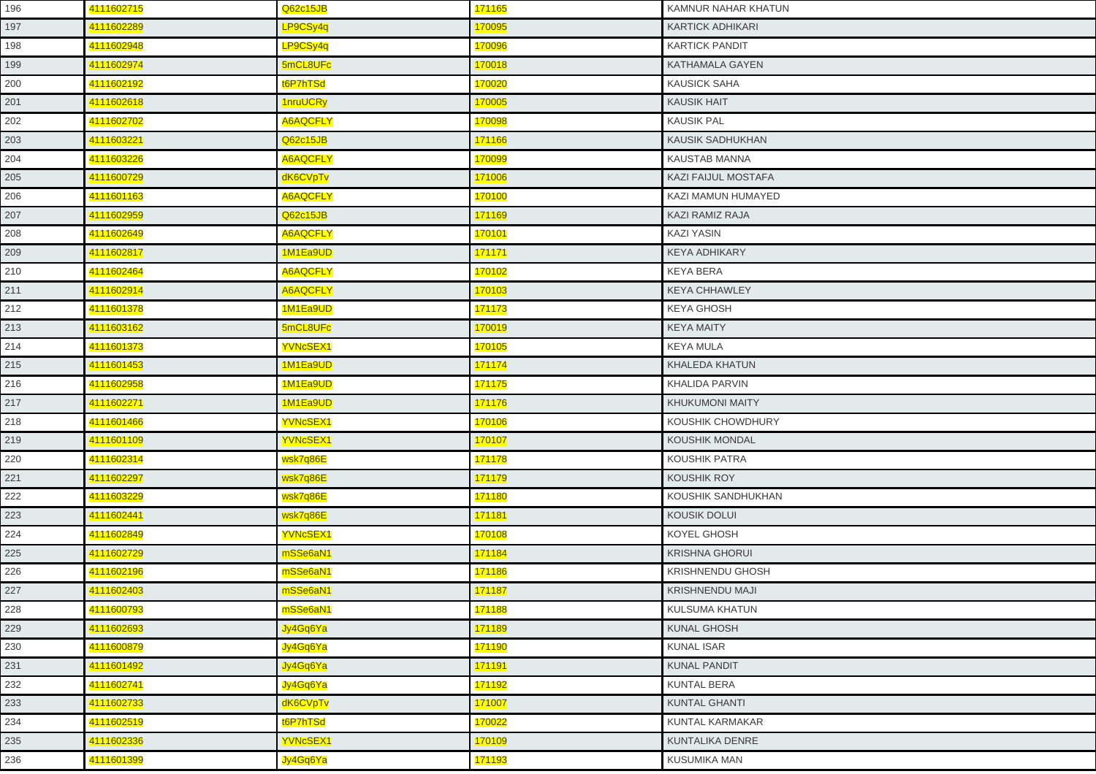| 196 | 4111602715 | Q62c15JB        | 171165        | KAMNUR NAHAR KHATUN        |
|-----|------------|-----------------|---------------|----------------------------|
| 197 | 4111602289 | LP9CSy4q        | 170095        | <b>KARTICK ADHIKARI</b>    |
| 198 | 4111602948 | LP9CSy4q        | 170096        | <b>KARTICK PANDIT</b>      |
| 199 | 4111602974 | 5mCL8UFc        | 170018        | <b>KATHAMALA GAYEN</b>     |
| 200 | 4111602192 | t6P7hTSd        | 170020        | <b>KAUSICK SAHA</b>        |
| 201 | 4111602618 | 1nruUCRy        | 170005        | <b>KAUSIK HAIT</b>         |
| 202 | 4111602702 | <b>A6AQCFLY</b> | 170098        | <b>KAUSIK PAL</b>          |
| 203 | 4111603221 | Q62c15JB        | 171166        | <b>KAUSIK SADHUKHAN</b>    |
| 204 | 4111603226 | <b>A6AQCFLY</b> | 170099        | KAUSTAB MANNA              |
| 205 | 4111600729 | dK6CVpTv        | 171006        | <b>KAZI FAIJUL MOSTAFA</b> |
| 206 | 4111601163 | <b>A6AQCFLY</b> | 170100        | KAZI MAMUN HUMAYED         |
| 207 | 4111602959 | Q62c15JB        | 171169        | KAZI RAMIZ RAJA            |
| 208 | 4111602649 | <b>A6AQCFLY</b> | 170101        | <b>KAZI YASIN</b>          |
| 209 | 4111602817 | 1M1Ea9UD        | 171171        | <b>KEYA ADHIKARY</b>       |
| 210 | 4111602464 | <b>A6AQCFLY</b> | 170102        | <b>KEYA BERA</b>           |
| 211 | 4111602914 | <b>A6AQCFLY</b> | 170103        | <b>KEYA CHHAWLEY</b>       |
| 212 | 4111601378 | 1M1Ea9UD        | 171173        | <b>KEYA GHOSH</b>          |
| 213 | 4111603162 | 5mCL8UFc        | 170019        | <b>KEYA MAITY</b>          |
| 214 | 4111601373 | <b>YVNcSEX1</b> | 170105        | <b>KEYA MULA</b>           |
| 215 | 4111601453 | 1M1Ea9UD        | 171174        | <b>KHALEDA KHATUN</b>      |
| 216 | 4111602958 | 1M1Ea9UD        | 171175        | <b>KHALIDA PARVIN</b>      |
| 217 | 4111602271 | 1M1Ea9UD        | 171176        | <b>KHUKUMONI MAITY</b>     |
| 218 | 4111601466 | YVNcSEX1        | 170106        | KOUSHIK CHOWDHURY          |
| 219 | 4111601109 | <b>YVNcSEX1</b> | 170107        | <b>KOUSHIK MONDAL</b>      |
| 220 | 4111602314 | wsk7q86E        | 171178        | KOUSHIK PATRA              |
| 221 | 4111602297 | wsk7q86E        | 171179        | <b>KOUSHIK ROY</b>         |
| 222 | 4111603229 | wsk7q86E        | 171180        | KOUSHIK SANDHUKHAN         |
| 223 | 4111602441 | wsk7q86E        | 171181        | <b>KOUSIK DOLUI</b>        |
| 224 | 4111602849 | <b>YVNcSEX1</b> | 170108        | KOYEL GHOSH                |
| 225 | 4111602729 | mSSe6aN1        | 171184        | <b>KRISHNA GHORUI</b>      |
| 226 | 4111602196 | mSSe6aN1        | 171186        | <b>KRISHNENDU GHOSH</b>    |
| 227 | 4111602403 | mSSe6aN1        | <u>171187</u> | <b>KRISHNENDU MAJI</b>     |
| 228 | 4111600793 | mSSe6aN1        | 171188        | KULSUMA KHATUN             |
| 229 | 4111602693 | Jy4Gq6Ya        | 171189        | <b>KUNAL GHOSH</b>         |
| 230 | 4111600879 | Jy4Gq6Ya        | 171190        | <b>KUNAL ISAR</b>          |
| 231 | 4111601492 | Jy4Gq6Ya        | 171191        | <b>KUNAL PANDIT</b>        |
| 232 | 4111602741 | Jy4Gq6Ya        | 171192        | <b>KUNTAL BERA</b>         |
| 233 | 4111602733 | dK6CVpTv        | 171007        | <b>KUNTAL GHANTI</b>       |
| 234 | 4111602519 | t6P7hTSd        | 170022        | KUNTAL KARMAKAR            |
| 235 | 4111602336 | <b>YVNcSEX1</b> | 170109        | KUNTALIKA DENRE            |
| 236 | 4111601399 | Jy4Gq6Ya        | 171193        | KUSUMIKA MAN               |
|     |            |                 |               |                            |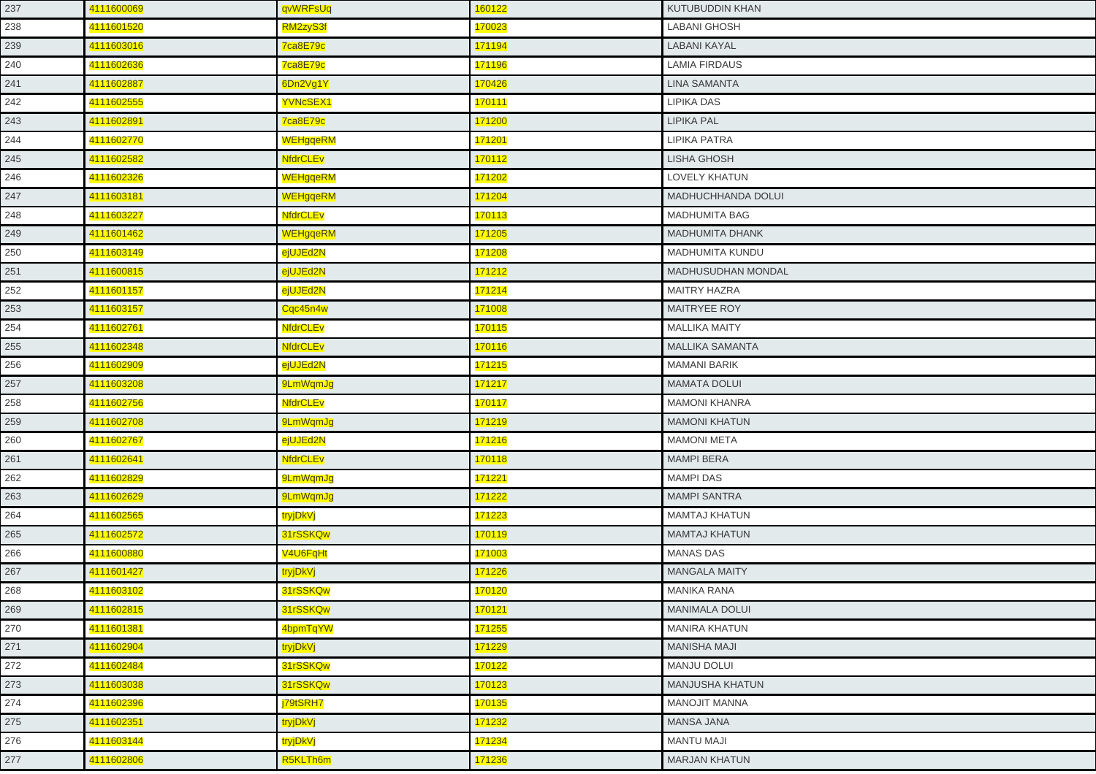| 237 | 4111600069 | qvWRFsUq        | 160122        | KUTUBUDDIN KHAN           |
|-----|------------|-----------------|---------------|---------------------------|
| 238 | 4111601520 | RM2zyS3f        | 170023        | <b>LABANI GHOSH</b>       |
| 239 | 4111603016 | 7ca8E79c        | 171194        | <b>LABANI KAYAL</b>       |
| 240 | 4111602636 | 7ca8E79c        | 171196        | <b>LAMIA FIRDAUS</b>      |
| 241 | 4111602887 | 6Dn2Vg1Y        | 170426        | <b>LINA SAMANTA</b>       |
| 242 | 4111602555 | <b>YVNcSEX1</b> | 170111        | LIPIKA DAS                |
| 243 | 4111602891 | 7ca8E79c        | 171200        | <b>LIPIKA PAL</b>         |
| 244 | 4111602770 | <b>WEHgqeRM</b> | 171201        | <b>LIPIKA PATRA</b>       |
| 245 | 4111602582 | <b>NfdrCLEv</b> | 170112        | <b>LISHA GHOSH</b>        |
| 246 | 4111602326 | <b>WEHgqeRM</b> | 171202        | LOVELY KHATUN             |
| 247 | 4111603181 | <b>WEHgqeRM</b> | 171204        | MADHUCHHANDA DOLUI        |
| 248 | 4111603227 | <b>NfdrCLEv</b> | 170113        | <b>MADHUMITA BAG</b>      |
| 249 | 4111601462 | <b>WEHgqeRM</b> | 171205        | <b>MADHUMITA DHANK</b>    |
| 250 | 4111603149 | ejUJEd2N        | 171208        | MADHUMITA KUNDU           |
| 251 | 4111600815 | ejUJEd2N        | 171212        | <b>MADHUSUDHAN MONDAL</b> |
| 252 | 4111601157 | ejUJEd2N        | <b>171214</b> | <b>MAITRY HAZRA</b>       |
| 253 | 4111603157 | Cqc45n4w        | 171008        | <b>MAITRYEE ROY</b>       |
| 254 | 4111602761 | <b>NfdrCLEv</b> | 170115        | <b>MALLIKA MAITY</b>      |
| 255 | 4111602348 | <b>NfdrCLEv</b> | 170116        | <b>MALLIKA SAMANTA</b>    |
| 256 | 4111602909 | ejUJEd2N        | 171215        | <b>MAMANI BARIK</b>       |
| 257 | 4111603208 | 9LmWqmJg        | 171217        | <b>MAMATA DOLUI</b>       |
| 258 | 4111602756 | <b>NfdrCLEv</b> | 170117        | <b>MAMONI KHANRA</b>      |
| 259 | 4111602708 | 9LmWqmJg        | 171219        | <b>MAMONI KHATUN</b>      |
| 260 | 4111602767 | ejUJEd2N        | 171216        | <b>MAMONI META</b>        |
| 261 | 4111602641 | <b>NfdrCLEv</b> | 170118        | <b>MAMPI BERA</b>         |
| 262 | 4111602829 | 9LmWqmJg        | 171221        | <b>MAMPI DAS</b>          |
| 263 | 4111602629 | 9LmWqmJg        | 171222        | <b>MAMPI SANTRA</b>       |
| 264 | 4111602565 | tryjDkVj        | 171223        | <b>MAMTAJ KHATUN</b>      |
| 265 | 4111602572 | 31rSSKQw        | 170119        | <b>MAMTAJ KHATUN</b>      |
| 266 | 4111600880 | V4U6FqHt        | 171003        | <b>MANAS DAS</b>          |
| 267 | 4111601427 | tryjDkVj        | 171226        | <b>MANGALA MAITY</b>      |
| 268 | 4111603102 | 31rSSKQw        | 170120        | MANIKA RANA               |
| 269 | 4111602815 | 31rSSKQw        | 170121        | MANIMALA DOLUI            |
| 270 | 4111601381 | 4bpmTqYW        | 171255        | <b>MANIRA KHATUN</b>      |
| 271 | 4111602904 | tryjDkVj        | 171229        | <b>MANISHA MAJI</b>       |
| 272 | 4111602484 | 31rSSKQw        | 170122        | MANJU DOLUI               |
| 273 | 4111603038 | 31rSSKQw        | 170123        | <b>MANJUSHA KHATUN</b>    |
| 274 | 4111602396 | j79tSRH7        | 170135        | <b>MANOJIT MANNA</b>      |
| 275 | 4111602351 | tryjDkVj        | 171232        | <b>MANSA JANA</b>         |
| 276 | 4111603144 | tryjDkVj        | 171234        | <b>MANTU MAJI</b>         |
| 277 | 4111602806 | R5KLTh6m        | 171236        | <b>MARJAN KHATUN</b>      |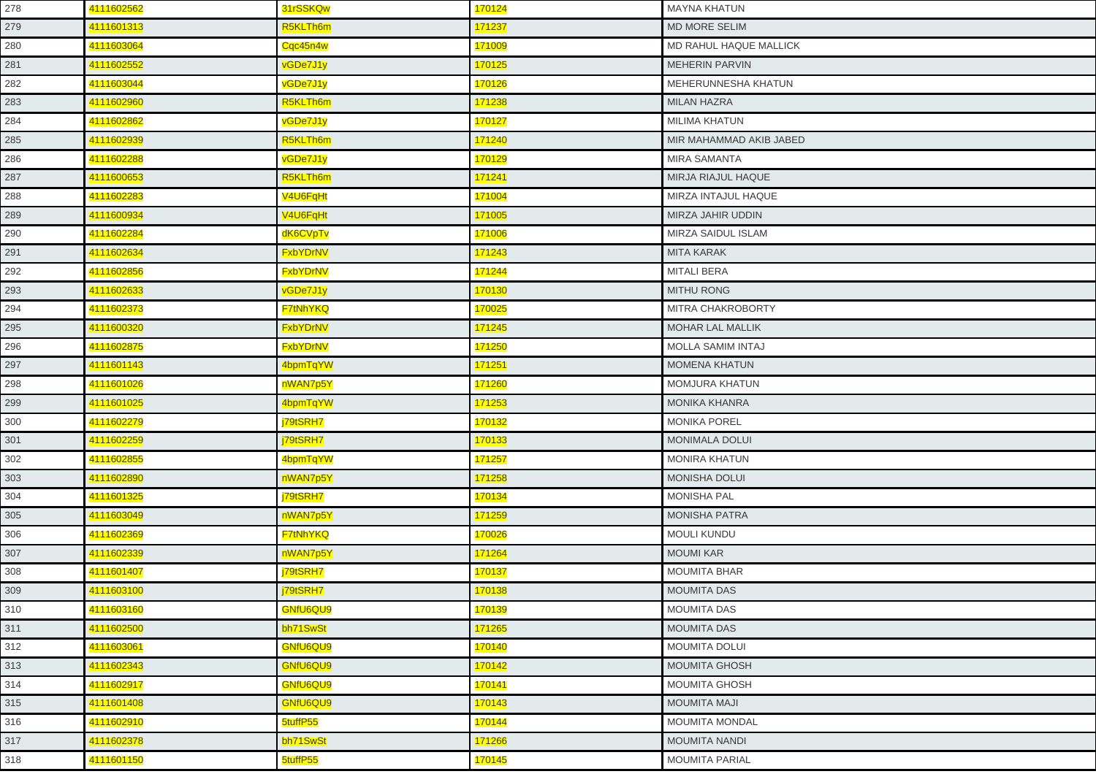| 278 | 4111602562 | 31rSSKQw        | 170124 | MAYNA KHATUN                  |
|-----|------------|-----------------|--------|-------------------------------|
| 279 | 4111601313 | R5KLTh6m        | 171237 | <b>MD MORE SELIM</b>          |
| 280 | 4111603064 | Cqc45n4w        | 171009 | <b>MD RAHUL HAQUE MALLICK</b> |
| 281 | 4111602552 | vGDe7J1y        | 170125 | <b>MEHERIN PARVIN</b>         |
| 282 | 4111603044 | vGDe7J1y        | 170126 | MEHERUNNESHA KHATUN           |
| 283 | 4111602960 | R5KLTh6m        | 171238 | <b>MILAN HAZRA</b>            |
| 284 | 4111602862 | vGDe7J1y        | 170127 | <b>MILIMA KHATUN</b>          |
| 285 | 4111602939 | R5KLTh6m        | 171240 | MIR MAHAMMAD AKIB JABED       |
| 286 | 4111602288 | vGDe7J1y        | 170129 | <b>MIRA SAMANTA</b>           |
| 287 | 4111600653 | R5KLTh6m        | 171241 | MIRJA RIAJUL HAQUE            |
| 288 | 4111602283 | V4U6FqHt        | 171004 | MIRZA INTAJUL HAQUE           |
| 289 | 4111600934 | V4U6FqHt        | 171005 | MIRZA JAHIR UDDIN             |
| 290 | 4111602284 | dK6CVpTv        | 171006 | MIRZA SAIDUL ISLAM            |
| 291 | 4111602634 | <b>FxbYDrNV</b> | 171243 | <b>MITA KARAK</b>             |
| 292 | 4111602856 | <b>FxbYDrNV</b> | 171244 | <b>MITALI BERA</b>            |
| 293 | 4111602633 | vGDe7J1y        | 170130 | <b>MITHU RONG</b>             |
| 294 | 4111602373 | F7tNhYKQ        | 170025 | MITRA CHAKROBORTY             |
| 295 | 4111600320 | <b>FxbYDrNV</b> | 171245 | <b>MOHAR LAL MALLIK</b>       |
| 296 | 4111602875 | <b>FxbYDrNV</b> | 171250 | <b>MOLLA SAMIM INTAJ</b>      |
| 297 | 4111601143 | 4bpmTqYW        | 171251 | <b>MOMENA KHATUN</b>          |
| 298 | 4111601026 | nWAN7p5Y        | 171260 | <b>MOMJURA KHATUN</b>         |
| 299 | 4111601025 | 4bpmTqYW        | 171253 | MONIKA KHANRA                 |
| 300 | 4111602279 | j79tSRH7        | 170132 | <b>MONIKA POREL</b>           |
| 301 | 4111602259 | j79tSRH7        | 170133 | <b>MONIMALA DOLUI</b>         |
| 302 | 4111602855 | 4bpmTqYW        | 171257 | <b>MONIRA KHATUN</b>          |
| 303 | 4111602890 | nWAN7p5Y        | 171258 | <b>MONISHA DOLUI</b>          |
| 304 | 4111601325 | j79tSRH7        | 170134 | <b>MONISHA PAL</b>            |
| 305 | 4111603049 | nWAN7p5Y        | 171259 | <b>MONISHA PATRA</b>          |
| 306 | 4111602369 | F7tNhYKQ        | 170026 | <b>MOULI KUNDU</b>            |
| 307 | 4111602339 | nWAN7p5Y        | 171264 | <b>MOUMI KAR</b>              |
| 308 | 4111601407 | j79tSRH7        | 170137 | MOUMITA BHAR                  |
| 309 | 4111603100 | j79tSRH7        | 170138 | <b>MOUMITA DAS</b>            |
| 310 | 4111603160 | GNfU6QU9        | 170139 | <b>MOUMITA DAS</b>            |
| 311 | 4111602500 | bh71SwSt        | 171265 | <b>MOUMITA DAS</b>            |
| 312 | 4111603061 | GNfU6QU9        | 170140 | <b>MOUMITA DOLUI</b>          |
| 313 | 4111602343 | GNfU6QU9        | 170142 | <b>MOUMITA GHOSH</b>          |
| 314 | 4111602917 | GNfU6QU9        | 170141 | <b>MOUMITA GHOSH</b>          |
| 315 | 4111601408 | GNfU6QU9        | 170143 | <b>MOUMITA MAJI</b>           |
| 316 | 4111602910 | 5tuffP55        | 170144 | <b>MOUMITA MONDAL</b>         |
| 317 | 4111602378 | bh71SwSt        | 171266 | <b>MOUMITA NANDI</b>          |
| 318 | 4111601150 | 5tuffP55        | 170145 | MOUMITA PARIAL                |
|     |            |                 |        |                               |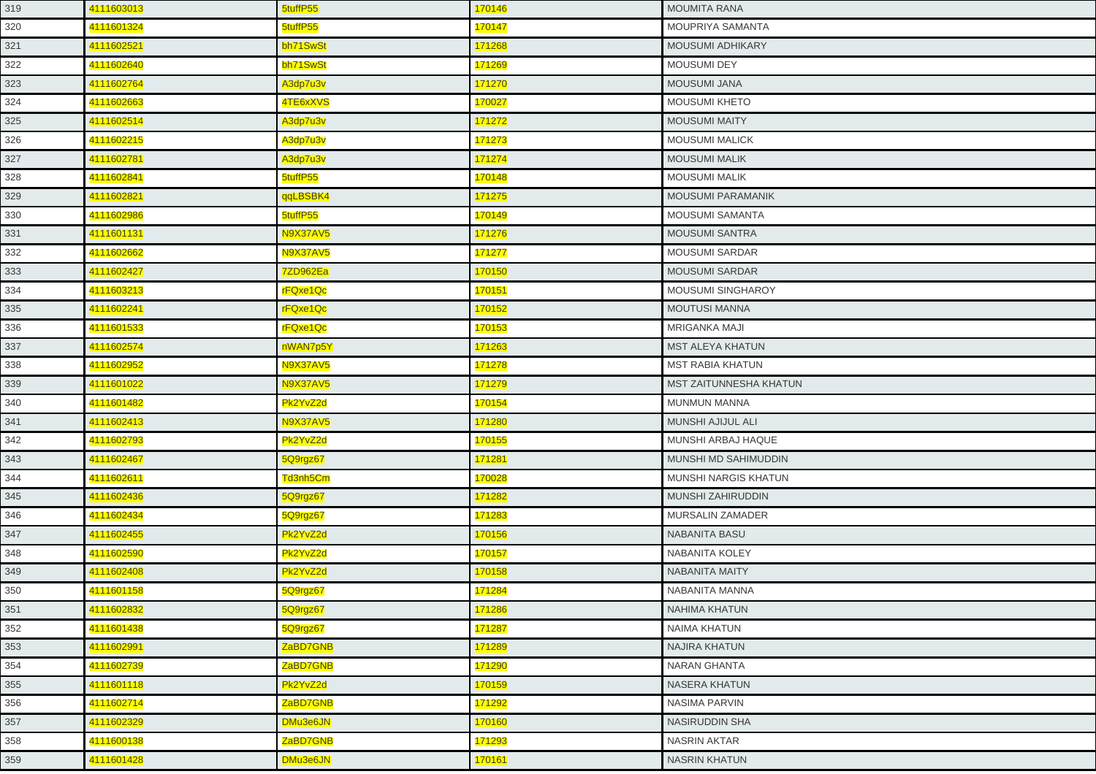| 319 | 4111603013 | 5tuffP55        | 170146         | <b>MOUMITA RANA</b>         |
|-----|------------|-----------------|----------------|-----------------------------|
| 320 | 4111601324 | 5tuffP55        | 170147         | MOUPRIYA SAMANTA            |
| 321 | 4111602521 | bh71SwSt        | 171268         | MOUSUMI ADHIKARY            |
| 322 | 4111602640 | bh71SwSt        | 171269         | MOUSUMI DEY                 |
| 323 | 4111602764 | A3dp7u3v        | 171270         | <b>MOUSUMI JANA</b>         |
| 324 | 4111602663 | 4TE6xXVS        | 170027         | MOUSUMI KHETO               |
| 325 | 4111602514 | A3dp7u3v        | 171272         | <b>MOUSUMI MAITY</b>        |
| 326 | 4111602215 | A3dp7u3v        | 171273         | <b>MOUSUMI MALICK</b>       |
| 327 | 4111602781 | A3dp7u3v        | 171274         | <b>MOUSUMI MALIK</b>        |
| 328 | 4111602841 | 5tuffP55        | 170148         | <b>MOUSUMI MALIK</b>        |
| 329 | 4111602821 | qqLBSBK4        | 171275         | <b>MOUSUMI PARAMANIK</b>    |
| 330 | 4111602986 | 5tuffP55        | 170149         | MOUSUMI SAMANTA             |
| 331 | 4111601131 | <b>N9X37AV5</b> | 171276         | <b>MOUSUMI SANTRA</b>       |
| 332 | 4111602662 | <b>N9X37AV5</b> | 171277         | MOUSUMI SARDAR              |
| 333 | 4111602427 | 7ZD962Ea        | 170150         | <b>MOUSUMI SARDAR</b>       |
| 334 | 4111603213 | rFQxe1Qc        | 170151         | <b>MOUSUMI SINGHAROY</b>    |
| 335 | 4111602241 | rFQxe1Qc        | 170152         | <b>MOUTUSI MANNA</b>        |
| 336 | 4111601533 | rFQxe1Qc        | 170153         | <b>MRIGANKA MAJI</b>        |
| 337 | 4111602574 | nWAN7p5Y        | 171263         | <b>MST ALEYA KHATUN</b>     |
| 338 | 4111602952 | <b>N9X37AV5</b> | 171278         | <b>MST RABIA KHATUN</b>     |
| 339 | 4111601022 | <b>N9X37AV5</b> | 171279         | MST ZAITUNNESHA KHATUN      |
| 340 | 4111601482 | Pk2YvZ2d        | 170154         | <b>MUNMUN MANNA</b>         |
| 341 | 4111602413 | <b>N9X37AV5</b> | 171280         | MUNSHI AJIJUL ALI           |
| 342 | 4111602793 | Pk2YvZ2d        | 170155         | MUNSHI ARBAJ HAQUE          |
| 343 | 4111602467 | 5Q9rgz67        | 171281         | MUNSHI MD SAHIMUDDIN        |
| 344 | 4111602611 | Td3nh5Cm        | 170028         | <b>MUNSHI NARGIS KHATUN</b> |
| 345 | 4111602436 | 5Q9rgz67        | 171282         | MUNSHI ZAHIRUDDIN           |
| 346 | 4111602434 | 5Q9rgz67        | 171283         | MURSALIN ZAMADER            |
| 347 | 4111602455 | Pk2YvZ2d        | 170156         | <b>NABANITA BASU</b>        |
| 348 | 4111602590 | Pk2YvZ2d        | 170157         | NABANITA KOLEY              |
| 349 | 4111602408 | Pk2YvZ2d        | 170158         | NABANITA MAITY              |
| 350 | 4111601158 | 5Q9rgz67        | <u> 171284</u> | NABANITA MANNA              |
| 351 | 4111602832 | 5Q9rgz67        | 171286         | <b>NAHIMA KHATUN</b>        |
| 352 | 4111601438 | 5Q9rgz67        | 171287         | <b>NAIMA KHATUN</b>         |
| 353 | 4111602991 | ZaBD7GNB        | 171289         | NAJIRA KHATUN               |
| 354 | 4111602739 | ZaBD7GNB        | 171290         | NARAN GHANTA                |
| 355 | 4111601118 | Pk2YvZ2d        | 170159         | <b>NASERA KHATUN</b>        |
| 356 | 4111602714 | ZaBD7GNB        | 171292         | <b>NASIMA PARVIN</b>        |
| 357 | 4111602329 | DMu3e6JN        | 170160         | NASIRUDDIN SHA              |
| 358 | 4111600138 | ZaBD7GNB        | 171293         | <b>NASRIN AKTAR</b>         |
| 359 | 4111601428 | DMu3e6JN        | 170161         | NASRIN KHATUN               |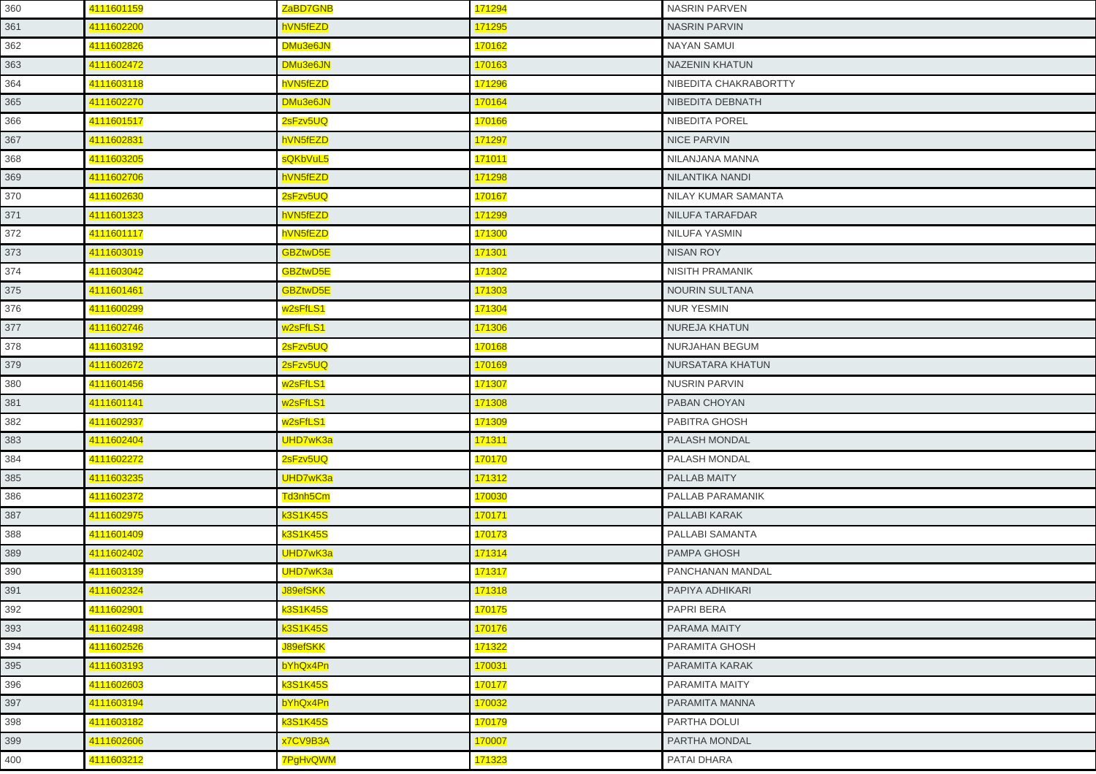| 360 | 4111601159 | ZaBD7GNB             | 171294 | <b>NASRIN PARVEN</b>   |
|-----|------------|----------------------|--------|------------------------|
| 361 | 4111602200 | hVN5fEZD             | 171295 | <b>NASRIN PARVIN</b>   |
| 362 | 4111602826 | DMu3e6JN             | 170162 | <b>NAYAN SAMUI</b>     |
| 363 | 4111602472 | DMu3e6JN             | 170163 | <b>NAZENIN KHATUN</b>  |
| 364 | 4111603118 | hVN5fEZD             | 171296 | NIBEDITA CHAKRABORTTY  |
| 365 | 4111602270 | DMu3e6JN             | 170164 | NIBEDITA DEBNATH       |
| 366 | 4111601517 | 2sFzv5UQ             | 170166 | <b>NIBEDITA POREL</b>  |
| 367 | 4111602831 | hVN5fEZD             | 171297 | <b>NICE PARVIN</b>     |
| 368 | 4111603205 | sQKbVuL5             | 171011 | NILANJANA MANNA        |
| 369 | 4111602706 | hVN5fEZD             | 171298 | NILANTIKA NANDI        |
| 370 | 4111602630 | 2sFzv5UQ             | 170167 | NILAY KUMAR SAMANTA    |
| 371 | 4111601323 | hVN5fEZD             | 171299 | NILUFA TARAFDAR        |
| 372 | 4111601117 | hVN5fEZD             | 171300 | <b>NILUFA YASMIN</b>   |
| 373 | 4111603019 | <b>GBZtwD5E</b>      | 171301 | <b>NISAN ROY</b>       |
| 374 | 4111603042 | <b>GBZtwD5E</b>      | 171302 | <b>NISITH PRAMANIK</b> |
| 375 | 4111601461 | <b>GBZtwD5E</b>      | 171303 | <b>NOURIN SULTANA</b>  |
| 376 | 4111600299 | w <sub>2sFfLS1</sub> | 171304 | <b>NUR YESMIN</b>      |
| 377 | 4111602746 | w <sub>2sFfLS1</sub> | 171306 | <b>NUREJA KHATUN</b>   |
| 378 | 4111603192 | 2sFzv5UQ             | 170168 | NURJAHAN BEGUM         |
| 379 | 4111602672 | 2sFzv5UQ             | 170169 | NURSATARA KHATUN       |
| 380 | 4111601456 | w <sub>2sFfLS1</sub> | 171307 | <b>NUSRIN PARVIN</b>   |
| 381 | 4111601141 | w <sub>2sFfLS1</sub> | 171308 | PABAN CHOYAN           |
| 382 | 4111602937 | w <sub>2sFfLS1</sub> | 171309 | PABITRA GHOSH          |
| 383 | 4111602404 | UHD7wK3a             | 171311 | <b>PALASH MONDAL</b>   |
| 384 | 4111602272 | 2sFzv5UQ             | 170170 | PALASH MONDAL          |
| 385 | 4111603235 | UHD7wK3a             | 171312 | PALLAB MAITY           |
| 386 | 4111602372 | Td3nh5Cm             | 170030 | PALLAB PARAMANIK       |
| 387 | 4111602975 | k3S1K45S             | 170171 | PALLABI KARAK          |
| 388 | 4111601409 | <b>x3S1K45S</b>      | 170173 | PALLABI SAMANTA        |
| 389 | 4111602402 | UHD7wK3a             | 171314 | PAMPA GHOSH            |
| 390 | 4111603139 | UHD7wK3a             | 171317 | PANCHANAN MANDAL       |
| 391 | 4111602324 | <b>J89efSKK</b>      | 171318 | PAPIYA ADHIKARI        |
| 392 | 4111602901 | k3S1K45S             | 170175 | PAPRI BERA             |
| 393 | 4111602498 | k3S1K45S             | 170176 | <b>PARAMA MAITY</b>    |
| 394 | 4111602526 | <b>J89efSKK</b>      | 171322 | PARAMITA GHOSH         |
| 395 | 4111603193 | bYhQx4Pn             | 170031 | <b>PARAMITA KARAK</b>  |
| 396 | 4111602603 | k3S1K45S             | 170177 | PARAMITA MAITY         |
| 397 | 4111603194 | bYhQx4Pn             | 170032 | PARAMITA MANNA         |
| 398 | 4111603182 | <b>x3S1K45S</b>      | 170179 | PARTHA DOLUI           |
| 399 | 4111602606 | x7CV9B3A             | 170007 | PARTHA MONDAL          |
| 400 | 4111603212 | 7PgHvQWM             | 171323 | PATAI DHARA            |
|     |            |                      |        |                        |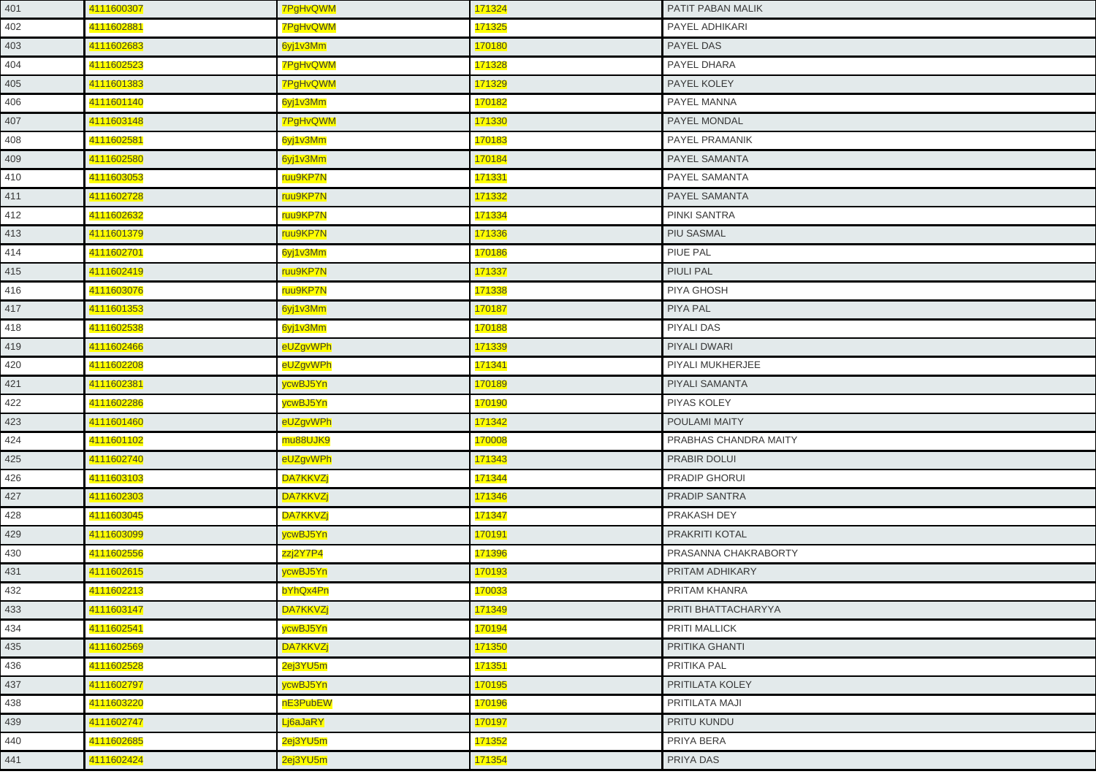| 4111600307 | 7PgHvQWM        | 171324 | PATIT PABAN MALIK      |
|------------|-----------------|--------|------------------------|
| 4111602881 | 7PgHvQWM        | 171325 | PAYEL ADHIKARI         |
| 4111602683 | 6yj1v3Mm        | 170180 | PAYEL DAS              |
| 4111602523 | <b>7PgHvQWM</b> | 171328 | PAYEL DHARA            |
| 4111601383 | <b>7PgHvQWM</b> | 171329 | PAYEL KOLEY            |
| 4111601140 | 6yj1v3Mm        | 170182 | PAYEL MANNA            |
| 4111603148 | <b>7PgHvQWM</b> | 171330 | <b>PAYEL MONDAL</b>    |
| 4111602581 | 6yj1v3Mm        | 170183 | PAYEL PRAMANIK         |
| 4111602580 | 6yj1v3Mm        | 170184 | <b>PAYEL SAMANTA</b>   |
| 4111603053 | ruu9KP7N        | 171331 | PAYEL SAMANTA          |
| 4111602728 | ruu9KP7N        | 171332 | PAYEL SAMANTA          |
| 4111602632 | ruu9KP7N        | 171334 | PINKI SANTRA           |
| 4111601379 | ruu9KP7N        | 171336 | <b>PIU SASMAL</b>      |
| 4111602701 | 6yj1v3Mm        | 170186 | <b>PIUE PAL</b>        |
| 4111602419 | ruu9KP7N        | 171337 | <b>PIULI PAL</b>       |
| 4111603076 | ruu9KP7N        | 171338 | PIYA GHOSH             |
| 4111601353 | 6yj1v3Mm        | 170187 | PIYA PAL               |
| 4111602538 | 6yj1v3Mm        | 170188 | <b>PIYALI DAS</b>      |
| 4111602466 | eUZgvWPh        | 171339 | PIYALI DWARI           |
| 4111602208 | eUZgvWPh        | 171341 | PIYALI MUKHERJEE       |
| 4111602381 | ycwBJ5Yn        | 170189 | <b>PIYALI SAMANTA</b>  |
| 4111602286 | ycwBJ5Yn        | 170190 | <b>PIYAS KOLEY</b>     |
| 4111601460 | eUZgvWPh        | 171342 | POULAMI MAITY          |
| 4111601102 | mu88UJK9        | 170008 | PRABHAS CHANDRA MAITY  |
| 4111602740 | eUZgvWPh        | 171343 | PRABIR DOLUI           |
| 4111603103 | <b>DA7KKVZj</b> | 171344 | <b>PRADIP GHORUI</b>   |
| 4111602303 | <b>DA7KKVZj</b> | 171346 | <b>PRADIP SANTRA</b>   |
| 4111603045 | <b>DA7KKVZj</b> | 171347 | PRAKASH DEY            |
| 4111603099 | ycwBJ5Yn        | 170191 | PRAKRITI KOTAL         |
| 4111602556 | zzj2Y7P4        | 171396 | PRASANNA CHAKRABORTY   |
| 4111602615 | /cwBJ5Yn        | 170193 | PRITAM ADHIKARY        |
| 4111602213 | bYhQx4Pn        | 170033 | PRITAM KHANRA          |
| 4111603147 | <b>DA7KKVZj</b> | 171349 | PRITI BHATTACHARYYA    |
| 4111602541 | ycwBJ5Yn        | 170194 | <b>PRITI MALLICK</b>   |
| 4111602569 | <b>DA7KKVZj</b> | 171350 | PRITIKA GHANTI         |
| 4111602528 | 2ej3YU5m        | 171351 | PRITIKA PAL            |
| 4111602797 | ycwBJ5Yn        | 170195 | <b>PRITILATA KOLEY</b> |
| 4111603220 | nE3PubEW        | 170196 | PRITILATA MAJI         |
| 4111602747 | Lj6aJaRY        | 170197 | PRITU KUNDU            |
| 4111602685 | 2ej3YU5m        | 171352 | PRIYA BERA             |
| 4111602424 | 2ej3YU5m        | 171354 | PRIYA DAS              |
|            |                 |        |                        |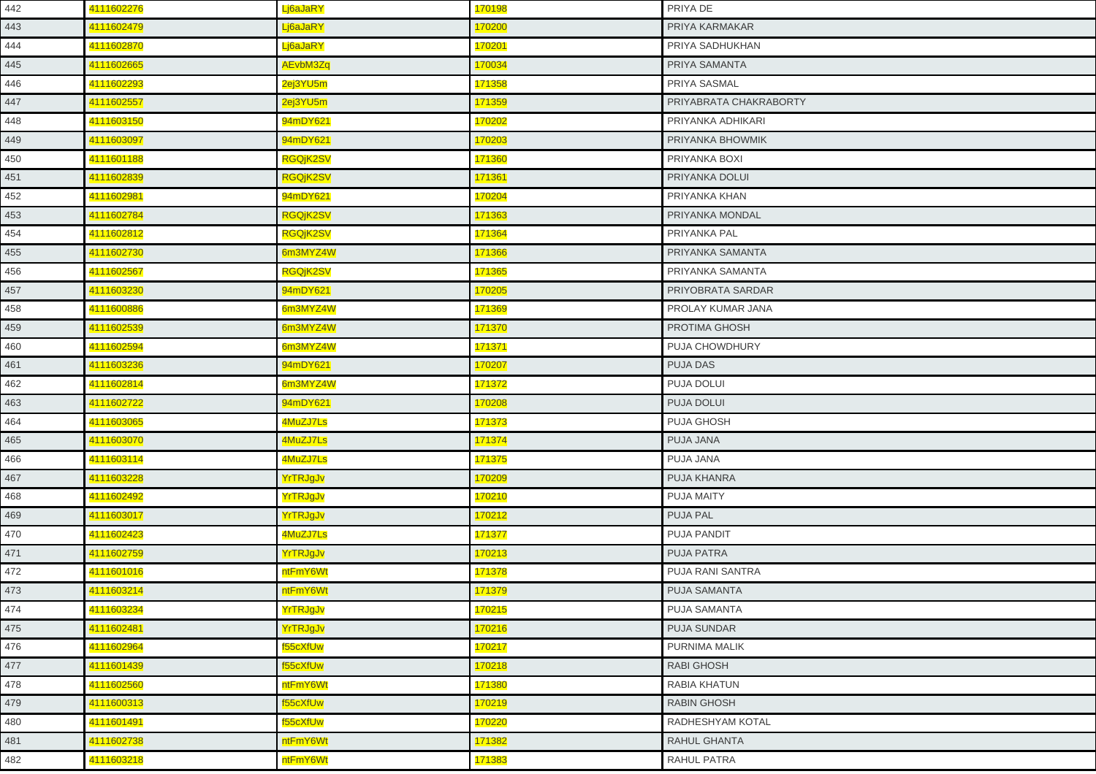| 442 | 4111602276 | Lj6aJaRY        | 170198 | PRIYA DE               |
|-----|------------|-----------------|--------|------------------------|
| 443 | 4111602479 | Lj6aJaRY        | 170200 | PRIYA KARMAKAR         |
| 444 | 4111602870 | Lj6aJaRY        | 170201 | PRIYA SADHUKHAN        |
| 445 | 4111602665 | AEvbM3Zq        | 170034 | PRIYA SAMANTA          |
| 446 | 4111602293 | 2ej3YU5m        | 171358 | PRIYA SASMAL           |
| 447 | 4111602557 | 2ej3YU5m        | 171359 | PRIYABRATA CHAKRABORTY |
| 448 | 4111603150 | 94mDY621        | 170202 | PRIYANKA ADHIKARI      |
| 449 | 4111603097 | 94mDY621        | 170203 | PRIYANKA BHOWMIK       |
| 450 | 4111601188 | RGQjK2SV        | 171360 | PRIYANKA BOXI          |
| 451 | 4111602839 | RGQjK2SV        | 171361 | PRIYANKA DOLUI         |
| 452 | 4111602981 | 94mDY621        | 170204 | PRIYANKA KHAN          |
| 453 | 4111602784 | RGQjK2SV        | 171363 | PRIYANKA MONDAL        |
| 454 | 4111602812 | <b>RGQjK2SV</b> | 171364 | PRIYANKA PAL           |
| 455 | 4111602730 | 6m3MYZ4W        | 171366 | PRIYANKA SAMANTA       |
| 456 | 4111602567 | RGQjK2SV        | 171365 | PRIYANKA SAMANTA       |
| 457 | 4111603230 | 94mDY621        | 170205 | PRIYOBRATA SARDAR      |
| 458 | 4111600886 | 6m3MYZ4W        | 171369 | PROLAY KUMAR JANA      |
| 459 | 4111602539 | 6m3MYZ4W        | 171370 | PROTIMA GHOSH          |
| 460 | 4111602594 | 6m3MYZ4W        | 171371 | PUJA CHOWDHURY         |
| 461 | 4111603236 | 94mDY621        | 170207 | <b>PUJA DAS</b>        |
| 462 | 4111602814 | 6m3MYZ4W        | 171372 | PUJA DOLUI             |
| 463 | 4111602722 | 94mDY621        | 170208 | PUJA DOLUI             |
| 464 | 4111603065 | 4MuZJ7Ls        | 171373 | PUJA GHOSH             |
| 465 | 4111603070 | 4MuZJ7Ls        | 171374 | PUJA JANA              |
| 466 | 4111603114 | 4MuZJ7Ls        | 171375 | PUJA JANA              |
| 467 | 4111603228 | YrTRJgJv        | 170209 | PUJA KHANRA            |
| 468 | 4111602492 | YrTRJgJv        | 170210 | PUJA MAITY             |
| 469 | 4111603017 | YrTRJgJv        | 170212 | PUJA PAL               |
| 470 | 4111602423 | 4MuZJ7Ls        | 171377 | <b>PUJA PANDIT</b>     |
| 471 | 4111602759 | YrTRJgJv        | 170213 | PUJA PATRA             |
| 472 | 4111601016 | ntFmY6Wt        | 171378 | PUJA RANI SANTRA       |
| 473 | 4111603214 | ntFmY6Wt        | 171379 | <b>PUJA SAMANTA</b>    |
| 474 | 4111603234 | YrTRJgJv        | 170215 | PUJA SAMANTA           |
| 475 | 4111602481 | YrTRJgJv        | 170216 | PUJA SUNDAR            |
| 476 | 4111602964 | f55cXfUw        | 170217 | PURNIMA MALIK          |
| 477 | 4111601439 | f55cXfUw        | 170218 | RABI GHOSH             |
| 478 | 4111602560 | ntFmY6Wt        | 171380 | RABIA KHATUN           |
| 479 | 4111600313 | f55cXfUw        | 170219 | <b>RABIN GHOSH</b>     |
| 480 | 4111601491 | f55cXfUw        | 170220 | RADHESHYAM KOTAL       |
| 481 | 4111602738 | ntFmY6Wt        | 171382 | <b>RAHUL GHANTA</b>    |
| 482 | 4111603218 | ntFmY6Wt        | 171383 | RAHUL PATRA            |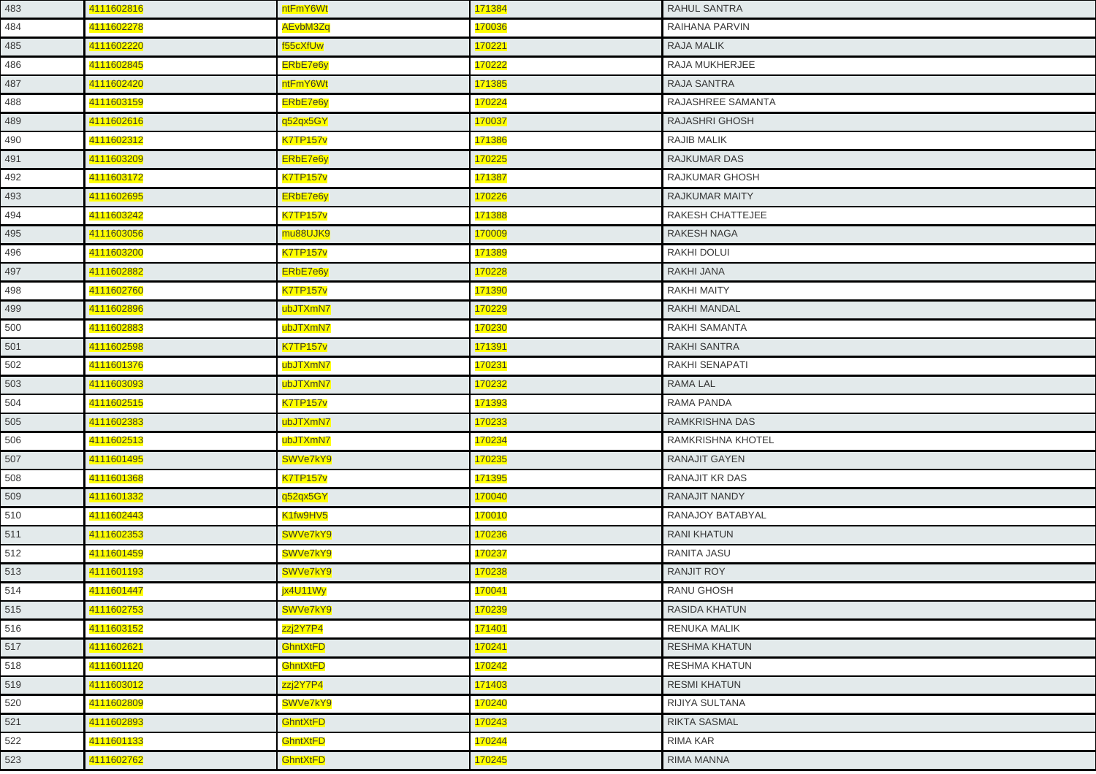| 483 | 4111602816 | ntFmY6Wt        | 171384 | <b>RAHUL SANTRA</b>   |
|-----|------------|-----------------|--------|-----------------------|
| 484 | 4111602278 | AEvbM3Zq        | 170036 | RAIHANA PARVIN        |
| 485 | 4111602220 | f55cXfUw        | 170221 | <b>RAJA MALIK</b>     |
| 486 | 4111602845 | ERbE7e6y        | 170222 | RAJA MUKHERJEE        |
| 487 | 4111602420 | ntFmY6Wt        | 171385 | <b>RAJA SANTRA</b>    |
| 488 | 4111603159 | ERbE7e6y        | 170224 | RAJASHREE SAMANTA     |
| 489 | 4111602616 | q52qx5GY        | 170037 | <b>RAJASHRI GHOSH</b> |
| 490 | 4111602312 | <b>K7TP157v</b> | 171386 | <b>RAJIB MALIK</b>    |
| 491 | 4111603209 | ERbE7e6y        | 170225 | <b>RAJKUMAR DAS</b>   |
| 492 | 4111603172 | <b>K7TP157v</b> | 171387 | RAJKUMAR GHOSH        |
| 493 | 4111602695 | ERbE7e6y        | 170226 | <b>RAJKUMAR MAITY</b> |
| 494 | 4111603242 | <b>K7TP157v</b> | 171388 | RAKESH CHATTEJEE      |
| 495 | 4111603056 | mu88UJK9        | 170009 | <b>RAKESH NAGA</b>    |
| 496 | 4111603200 | <b>K7TP157v</b> | 171389 | RAKHI DOLUI           |
| 497 | 4111602882 | ERbE7e6y        | 170228 | <b>RAKHI JANA</b>     |
| 498 | 4111602760 | <b>K7TP157v</b> | 171390 | <b>RAKHI MAITY</b>    |
| 499 | 4111602896 | ubJTXmN7        | 170229 | <b>RAKHI MANDAL</b>   |
| 500 | 4111602883 | ubJTXmN7        | 170230 | <b>RAKHI SAMANTA</b>  |
| 501 | 4111602598 | <b>K7TP157v</b> | 171391 | RAKHI SANTRA          |
| 502 | 4111601376 | ubJTXmN7        | 170231 | <b>RAKHI SENAPATI</b> |
| 503 | 4111603093 | ubJTXmN7        | 170232 | <b>RAMA LAL</b>       |
| 504 | 4111602515 | <b>K7TP157v</b> | 171393 | RAMA PANDA            |
| 505 | 4111602383 | ubJTXmN7        | 170233 | RAMKRISHNA DAS        |
| 506 | 4111602513 | ubJTXmN7        | 170234 | RAMKRISHNA KHOTEL     |
| 507 | 4111601495 | SWVe7kY9        | 170235 | <b>RANAJIT GAYEN</b>  |
| 508 | 4111601368 | <b>K7TP157v</b> | 171395 | <b>RANAJIT KR DAS</b> |
| 509 | 4111601332 | q52qx5GY        | 170040 | RANAJIT NANDY         |
| 510 | 4111602443 | K1fw9HV5        | 170010 | RANAJOY BATABYAL      |
| 511 | 4111602353 | SWVe7kY9        | 170236 | <b>RANI KHATUN</b>    |
| 512 | 4111601459 | SWVe7kY9        | 170237 | <b>RANITA JASU</b>    |
| 513 | 4111601193 | SWVe7kY9        | 170238 | <b>RANJIT ROY</b>     |
| 514 | 4111601447 | jx4U11Wy        | 170041 | RANU GHOSH            |
| 515 | 4111602753 | SWVe7kY9        | 170239 | <b>RASIDA KHATUN</b>  |
| 516 | 4111603152 | zzj2Y7P4        | 171401 | <b>RENUKA MALIK</b>   |
| 517 | 4111602621 | GhntXtFD        | 170241 | <b>RESHMA KHATUN</b>  |
| 518 | 4111601120 | <b>GhntXtFD</b> | 170242 | RESHMA KHATUN         |
| 519 | 4111603012 | zzj2Y7P4        | 171403 | <b>RESMI KHATUN</b>   |
| 520 | 4111602809 | SWVe7kY9        | 170240 | RIJIYA SULTANA        |
| 521 | 4111602893 | <b>GhntXtFD</b> | 170243 | <b>RIKTA SASMAL</b>   |
| 522 | 4111601133 | <b>GhntXtFD</b> | 170244 | <b>RIMA KAR</b>       |
| 523 | 4111602762 | GhntXtFD        | 170245 | RIMA MANNA            |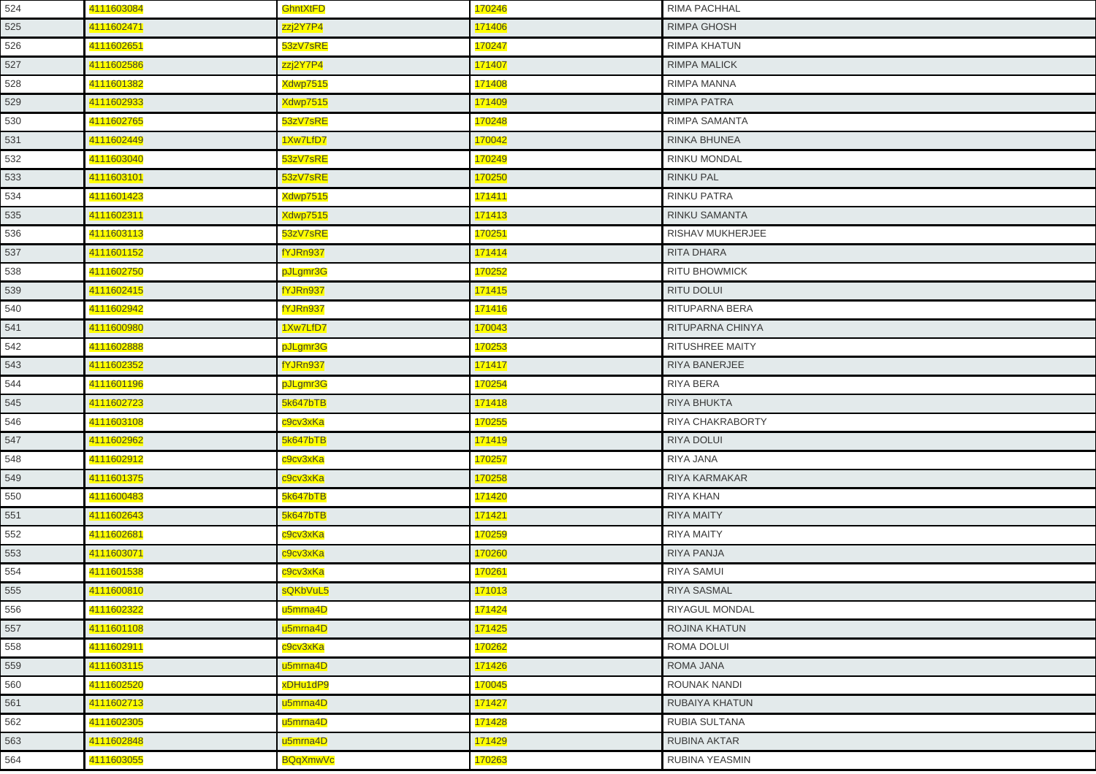| 4111602471<br>zzj2Y7P4<br>171406<br><b>RIMPA GHOSH</b><br>525<br>526<br>4111602651<br>53zV7sRE<br>170247<br><b>RIMPA KHATUN</b><br>4111602586<br>171407<br><b>RIMPA MALICK</b><br>527<br>zzj2Y7P4<br>528<br>4111601382<br>Xdwp7515<br>171408<br><b>RIMPA MANNA</b><br>4111602933<br>Xdwp7515<br>171409<br><b>RIMPA PATRA</b><br>529<br>4111602765<br>53zV7sRE<br>170248<br>RIMPA SAMANTA<br>530<br>4111602449<br>1Xw7LfD7<br>170042<br>RINKA BHUNEA<br>531<br><b>RINKU MONDAL</b><br>532<br>4111603040<br>53zV7sRE<br>170249<br>4111603101<br>53zV7sRE<br>170250<br><b>RINKU PAL</b><br>533<br>4111601423<br>Xdwp7515<br><u>171411</u><br>RINKU PATRA<br>534<br>Xdwp7515<br>171413<br>4111602311<br><b>RINKU SAMANTA</b><br>535<br>4111603113<br>53zV7sRE<br>170251<br><b>RISHAV MUKHERJEE</b><br>536<br>fYJRn937<br>171414<br><b>RITA DHARA</b><br>537<br>4111601152<br>538<br>4111602750<br>170252<br><b>RITU BHOWMICK</b><br>pJLgmr3G<br>fYJRn937<br>4111602415<br>171415<br><b>RITU DOLUI</b><br>539<br>4111602942<br>fYJRn937<br>171416<br>RITUPARNA BERA<br>540<br>4111600980<br>1Xw7LfD7<br>170043<br>RITUPARNA CHINYA<br>541<br>4111602888<br>170253<br><b>RITUSHREE MAITY</b><br>542<br>pJLgmr3G<br>fYJRn937<br>171417<br>4111602352<br><b>RIYA BANERJEE</b><br>543<br>4111601196<br>170254<br>pJLgmr3G<br>RIYA BERA<br>544<br>4111602723<br>5k647bTB<br>171418<br><b>RIYA BHUKTA</b><br>545<br>170255<br>4111603108<br>c9cv3xKa<br><b>RIYA CHAKRABORTY</b><br>546<br>4111602962<br>5k647bTB<br>171419<br>547<br><b>RIYA DOLUI</b><br>4111602912<br>c9cv3xKa<br>170257<br>RIYA JANA<br>548<br>c9cv3xKa<br>4111601375<br>170258<br><b>RIYA KARMAKAR</b><br>549<br>550<br>4111600483<br>5k647bTB<br>171420<br>RIYA KHAN<br>4111602643<br>5k647bTB<br>171421<br><b>RIYA MAITY</b><br>551<br>4111602681<br>170259<br>552<br><b>RIYA MAITY</b><br>c9cv3xKa<br>4111603071<br>c9cv3xKa<br>170260<br><b>RIYA PANJA</b><br>553<br>4111601538<br>170261<br><b>RIYA SAMUI</b><br>554<br>c9cv3xKa<br>555<br>4111600810<br>sQKbVuL5<br>171013<br><b>RIYA SASMAL</b><br>4111602322<br>171424<br>556<br>u5mrna4D<br><b>RIYAGUL MONDAL</b><br>171425<br>557<br>4111601108<br>u5mrna4D<br>ROJINA KHATUN<br>4111602911<br>170262<br>ROMA DOLUI<br>558<br>c9cv3xKa<br>171426<br>559<br>4111603115<br>u5mrna4D<br><b>ROMA JANA</b><br>170045<br>560<br>4111602520<br>xDHu1dP9<br><b>ROUNAK NANDI</b><br>u5mrna4D<br>171427<br>561<br>4111602713<br><b>RUBAIYA KHATUN</b><br>171428<br>562<br>4111602305<br>RUBIA SULTANA<br>u5mrna4D<br>171429<br>563<br>4111602848<br>u5mrna4D<br>RUBINA AKTAR<br><b>RUBINA YEASMIN</b><br>564<br>4111603055<br><u>BQqXmwVc</u><br>170263 | 524 | 4111603084 | <b>GhntXtFD</b> | 170246 | <b>RIMA PACHHAL</b> |
|-----------------------------------------------------------------------------------------------------------------------------------------------------------------------------------------------------------------------------------------------------------------------------------------------------------------------------------------------------------------------------------------------------------------------------------------------------------------------------------------------------------------------------------------------------------------------------------------------------------------------------------------------------------------------------------------------------------------------------------------------------------------------------------------------------------------------------------------------------------------------------------------------------------------------------------------------------------------------------------------------------------------------------------------------------------------------------------------------------------------------------------------------------------------------------------------------------------------------------------------------------------------------------------------------------------------------------------------------------------------------------------------------------------------------------------------------------------------------------------------------------------------------------------------------------------------------------------------------------------------------------------------------------------------------------------------------------------------------------------------------------------------------------------------------------------------------------------------------------------------------------------------------------------------------------------------------------------------------------------------------------------------------------------------------------------------------------------------------------------------------------------------------------------------------------------------------------------------------------------------------------------------------------------------------------------------------------------------------------------------------------------------------------------------------------------------------------------------------------------------------------------------------------------------------------------------------------------------------------------------------------------------------------------------|-----|------------|-----------------|--------|---------------------|
|                                                                                                                                                                                                                                                                                                                                                                                                                                                                                                                                                                                                                                                                                                                                                                                                                                                                                                                                                                                                                                                                                                                                                                                                                                                                                                                                                                                                                                                                                                                                                                                                                                                                                                                                                                                                                                                                                                                                                                                                                                                                                                                                                                                                                                                                                                                                                                                                                                                                                                                                                                                                                                                                 |     |            |                 |        |                     |
|                                                                                                                                                                                                                                                                                                                                                                                                                                                                                                                                                                                                                                                                                                                                                                                                                                                                                                                                                                                                                                                                                                                                                                                                                                                                                                                                                                                                                                                                                                                                                                                                                                                                                                                                                                                                                                                                                                                                                                                                                                                                                                                                                                                                                                                                                                                                                                                                                                                                                                                                                                                                                                                                 |     |            |                 |        |                     |
|                                                                                                                                                                                                                                                                                                                                                                                                                                                                                                                                                                                                                                                                                                                                                                                                                                                                                                                                                                                                                                                                                                                                                                                                                                                                                                                                                                                                                                                                                                                                                                                                                                                                                                                                                                                                                                                                                                                                                                                                                                                                                                                                                                                                                                                                                                                                                                                                                                                                                                                                                                                                                                                                 |     |            |                 |        |                     |
|                                                                                                                                                                                                                                                                                                                                                                                                                                                                                                                                                                                                                                                                                                                                                                                                                                                                                                                                                                                                                                                                                                                                                                                                                                                                                                                                                                                                                                                                                                                                                                                                                                                                                                                                                                                                                                                                                                                                                                                                                                                                                                                                                                                                                                                                                                                                                                                                                                                                                                                                                                                                                                                                 |     |            |                 |        |                     |
|                                                                                                                                                                                                                                                                                                                                                                                                                                                                                                                                                                                                                                                                                                                                                                                                                                                                                                                                                                                                                                                                                                                                                                                                                                                                                                                                                                                                                                                                                                                                                                                                                                                                                                                                                                                                                                                                                                                                                                                                                                                                                                                                                                                                                                                                                                                                                                                                                                                                                                                                                                                                                                                                 |     |            |                 |        |                     |
|                                                                                                                                                                                                                                                                                                                                                                                                                                                                                                                                                                                                                                                                                                                                                                                                                                                                                                                                                                                                                                                                                                                                                                                                                                                                                                                                                                                                                                                                                                                                                                                                                                                                                                                                                                                                                                                                                                                                                                                                                                                                                                                                                                                                                                                                                                                                                                                                                                                                                                                                                                                                                                                                 |     |            |                 |        |                     |
|                                                                                                                                                                                                                                                                                                                                                                                                                                                                                                                                                                                                                                                                                                                                                                                                                                                                                                                                                                                                                                                                                                                                                                                                                                                                                                                                                                                                                                                                                                                                                                                                                                                                                                                                                                                                                                                                                                                                                                                                                                                                                                                                                                                                                                                                                                                                                                                                                                                                                                                                                                                                                                                                 |     |            |                 |        |                     |
|                                                                                                                                                                                                                                                                                                                                                                                                                                                                                                                                                                                                                                                                                                                                                                                                                                                                                                                                                                                                                                                                                                                                                                                                                                                                                                                                                                                                                                                                                                                                                                                                                                                                                                                                                                                                                                                                                                                                                                                                                                                                                                                                                                                                                                                                                                                                                                                                                                                                                                                                                                                                                                                                 |     |            |                 |        |                     |
|                                                                                                                                                                                                                                                                                                                                                                                                                                                                                                                                                                                                                                                                                                                                                                                                                                                                                                                                                                                                                                                                                                                                                                                                                                                                                                                                                                                                                                                                                                                                                                                                                                                                                                                                                                                                                                                                                                                                                                                                                                                                                                                                                                                                                                                                                                                                                                                                                                                                                                                                                                                                                                                                 |     |            |                 |        |                     |
|                                                                                                                                                                                                                                                                                                                                                                                                                                                                                                                                                                                                                                                                                                                                                                                                                                                                                                                                                                                                                                                                                                                                                                                                                                                                                                                                                                                                                                                                                                                                                                                                                                                                                                                                                                                                                                                                                                                                                                                                                                                                                                                                                                                                                                                                                                                                                                                                                                                                                                                                                                                                                                                                 |     |            |                 |        |                     |
|                                                                                                                                                                                                                                                                                                                                                                                                                                                                                                                                                                                                                                                                                                                                                                                                                                                                                                                                                                                                                                                                                                                                                                                                                                                                                                                                                                                                                                                                                                                                                                                                                                                                                                                                                                                                                                                                                                                                                                                                                                                                                                                                                                                                                                                                                                                                                                                                                                                                                                                                                                                                                                                                 |     |            |                 |        |                     |
|                                                                                                                                                                                                                                                                                                                                                                                                                                                                                                                                                                                                                                                                                                                                                                                                                                                                                                                                                                                                                                                                                                                                                                                                                                                                                                                                                                                                                                                                                                                                                                                                                                                                                                                                                                                                                                                                                                                                                                                                                                                                                                                                                                                                                                                                                                                                                                                                                                                                                                                                                                                                                                                                 |     |            |                 |        |                     |
|                                                                                                                                                                                                                                                                                                                                                                                                                                                                                                                                                                                                                                                                                                                                                                                                                                                                                                                                                                                                                                                                                                                                                                                                                                                                                                                                                                                                                                                                                                                                                                                                                                                                                                                                                                                                                                                                                                                                                                                                                                                                                                                                                                                                                                                                                                                                                                                                                                                                                                                                                                                                                                                                 |     |            |                 |        |                     |
|                                                                                                                                                                                                                                                                                                                                                                                                                                                                                                                                                                                                                                                                                                                                                                                                                                                                                                                                                                                                                                                                                                                                                                                                                                                                                                                                                                                                                                                                                                                                                                                                                                                                                                                                                                                                                                                                                                                                                                                                                                                                                                                                                                                                                                                                                                                                                                                                                                                                                                                                                                                                                                                                 |     |            |                 |        |                     |
|                                                                                                                                                                                                                                                                                                                                                                                                                                                                                                                                                                                                                                                                                                                                                                                                                                                                                                                                                                                                                                                                                                                                                                                                                                                                                                                                                                                                                                                                                                                                                                                                                                                                                                                                                                                                                                                                                                                                                                                                                                                                                                                                                                                                                                                                                                                                                                                                                                                                                                                                                                                                                                                                 |     |            |                 |        |                     |
|                                                                                                                                                                                                                                                                                                                                                                                                                                                                                                                                                                                                                                                                                                                                                                                                                                                                                                                                                                                                                                                                                                                                                                                                                                                                                                                                                                                                                                                                                                                                                                                                                                                                                                                                                                                                                                                                                                                                                                                                                                                                                                                                                                                                                                                                                                                                                                                                                                                                                                                                                                                                                                                                 |     |            |                 |        |                     |
|                                                                                                                                                                                                                                                                                                                                                                                                                                                                                                                                                                                                                                                                                                                                                                                                                                                                                                                                                                                                                                                                                                                                                                                                                                                                                                                                                                                                                                                                                                                                                                                                                                                                                                                                                                                                                                                                                                                                                                                                                                                                                                                                                                                                                                                                                                                                                                                                                                                                                                                                                                                                                                                                 |     |            |                 |        |                     |
|                                                                                                                                                                                                                                                                                                                                                                                                                                                                                                                                                                                                                                                                                                                                                                                                                                                                                                                                                                                                                                                                                                                                                                                                                                                                                                                                                                                                                                                                                                                                                                                                                                                                                                                                                                                                                                                                                                                                                                                                                                                                                                                                                                                                                                                                                                                                                                                                                                                                                                                                                                                                                                                                 |     |            |                 |        |                     |
|                                                                                                                                                                                                                                                                                                                                                                                                                                                                                                                                                                                                                                                                                                                                                                                                                                                                                                                                                                                                                                                                                                                                                                                                                                                                                                                                                                                                                                                                                                                                                                                                                                                                                                                                                                                                                                                                                                                                                                                                                                                                                                                                                                                                                                                                                                                                                                                                                                                                                                                                                                                                                                                                 |     |            |                 |        |                     |
|                                                                                                                                                                                                                                                                                                                                                                                                                                                                                                                                                                                                                                                                                                                                                                                                                                                                                                                                                                                                                                                                                                                                                                                                                                                                                                                                                                                                                                                                                                                                                                                                                                                                                                                                                                                                                                                                                                                                                                                                                                                                                                                                                                                                                                                                                                                                                                                                                                                                                                                                                                                                                                                                 |     |            |                 |        |                     |
|                                                                                                                                                                                                                                                                                                                                                                                                                                                                                                                                                                                                                                                                                                                                                                                                                                                                                                                                                                                                                                                                                                                                                                                                                                                                                                                                                                                                                                                                                                                                                                                                                                                                                                                                                                                                                                                                                                                                                                                                                                                                                                                                                                                                                                                                                                                                                                                                                                                                                                                                                                                                                                                                 |     |            |                 |        |                     |
|                                                                                                                                                                                                                                                                                                                                                                                                                                                                                                                                                                                                                                                                                                                                                                                                                                                                                                                                                                                                                                                                                                                                                                                                                                                                                                                                                                                                                                                                                                                                                                                                                                                                                                                                                                                                                                                                                                                                                                                                                                                                                                                                                                                                                                                                                                                                                                                                                                                                                                                                                                                                                                                                 |     |            |                 |        |                     |
|                                                                                                                                                                                                                                                                                                                                                                                                                                                                                                                                                                                                                                                                                                                                                                                                                                                                                                                                                                                                                                                                                                                                                                                                                                                                                                                                                                                                                                                                                                                                                                                                                                                                                                                                                                                                                                                                                                                                                                                                                                                                                                                                                                                                                                                                                                                                                                                                                                                                                                                                                                                                                                                                 |     |            |                 |        |                     |
|                                                                                                                                                                                                                                                                                                                                                                                                                                                                                                                                                                                                                                                                                                                                                                                                                                                                                                                                                                                                                                                                                                                                                                                                                                                                                                                                                                                                                                                                                                                                                                                                                                                                                                                                                                                                                                                                                                                                                                                                                                                                                                                                                                                                                                                                                                                                                                                                                                                                                                                                                                                                                                                                 |     |            |                 |        |                     |
|                                                                                                                                                                                                                                                                                                                                                                                                                                                                                                                                                                                                                                                                                                                                                                                                                                                                                                                                                                                                                                                                                                                                                                                                                                                                                                                                                                                                                                                                                                                                                                                                                                                                                                                                                                                                                                                                                                                                                                                                                                                                                                                                                                                                                                                                                                                                                                                                                                                                                                                                                                                                                                                                 |     |            |                 |        |                     |
|                                                                                                                                                                                                                                                                                                                                                                                                                                                                                                                                                                                                                                                                                                                                                                                                                                                                                                                                                                                                                                                                                                                                                                                                                                                                                                                                                                                                                                                                                                                                                                                                                                                                                                                                                                                                                                                                                                                                                                                                                                                                                                                                                                                                                                                                                                                                                                                                                                                                                                                                                                                                                                                                 |     |            |                 |        |                     |
|                                                                                                                                                                                                                                                                                                                                                                                                                                                                                                                                                                                                                                                                                                                                                                                                                                                                                                                                                                                                                                                                                                                                                                                                                                                                                                                                                                                                                                                                                                                                                                                                                                                                                                                                                                                                                                                                                                                                                                                                                                                                                                                                                                                                                                                                                                                                                                                                                                                                                                                                                                                                                                                                 |     |            |                 |        |                     |
|                                                                                                                                                                                                                                                                                                                                                                                                                                                                                                                                                                                                                                                                                                                                                                                                                                                                                                                                                                                                                                                                                                                                                                                                                                                                                                                                                                                                                                                                                                                                                                                                                                                                                                                                                                                                                                                                                                                                                                                                                                                                                                                                                                                                                                                                                                                                                                                                                                                                                                                                                                                                                                                                 |     |            |                 |        |                     |
|                                                                                                                                                                                                                                                                                                                                                                                                                                                                                                                                                                                                                                                                                                                                                                                                                                                                                                                                                                                                                                                                                                                                                                                                                                                                                                                                                                                                                                                                                                                                                                                                                                                                                                                                                                                                                                                                                                                                                                                                                                                                                                                                                                                                                                                                                                                                                                                                                                                                                                                                                                                                                                                                 |     |            |                 |        |                     |
|                                                                                                                                                                                                                                                                                                                                                                                                                                                                                                                                                                                                                                                                                                                                                                                                                                                                                                                                                                                                                                                                                                                                                                                                                                                                                                                                                                                                                                                                                                                                                                                                                                                                                                                                                                                                                                                                                                                                                                                                                                                                                                                                                                                                                                                                                                                                                                                                                                                                                                                                                                                                                                                                 |     |            |                 |        |                     |
|                                                                                                                                                                                                                                                                                                                                                                                                                                                                                                                                                                                                                                                                                                                                                                                                                                                                                                                                                                                                                                                                                                                                                                                                                                                                                                                                                                                                                                                                                                                                                                                                                                                                                                                                                                                                                                                                                                                                                                                                                                                                                                                                                                                                                                                                                                                                                                                                                                                                                                                                                                                                                                                                 |     |            |                 |        |                     |
|                                                                                                                                                                                                                                                                                                                                                                                                                                                                                                                                                                                                                                                                                                                                                                                                                                                                                                                                                                                                                                                                                                                                                                                                                                                                                                                                                                                                                                                                                                                                                                                                                                                                                                                                                                                                                                                                                                                                                                                                                                                                                                                                                                                                                                                                                                                                                                                                                                                                                                                                                                                                                                                                 |     |            |                 |        |                     |
|                                                                                                                                                                                                                                                                                                                                                                                                                                                                                                                                                                                                                                                                                                                                                                                                                                                                                                                                                                                                                                                                                                                                                                                                                                                                                                                                                                                                                                                                                                                                                                                                                                                                                                                                                                                                                                                                                                                                                                                                                                                                                                                                                                                                                                                                                                                                                                                                                                                                                                                                                                                                                                                                 |     |            |                 |        |                     |
|                                                                                                                                                                                                                                                                                                                                                                                                                                                                                                                                                                                                                                                                                                                                                                                                                                                                                                                                                                                                                                                                                                                                                                                                                                                                                                                                                                                                                                                                                                                                                                                                                                                                                                                                                                                                                                                                                                                                                                                                                                                                                                                                                                                                                                                                                                                                                                                                                                                                                                                                                                                                                                                                 |     |            |                 |        |                     |
|                                                                                                                                                                                                                                                                                                                                                                                                                                                                                                                                                                                                                                                                                                                                                                                                                                                                                                                                                                                                                                                                                                                                                                                                                                                                                                                                                                                                                                                                                                                                                                                                                                                                                                                                                                                                                                                                                                                                                                                                                                                                                                                                                                                                                                                                                                                                                                                                                                                                                                                                                                                                                                                                 |     |            |                 |        |                     |
|                                                                                                                                                                                                                                                                                                                                                                                                                                                                                                                                                                                                                                                                                                                                                                                                                                                                                                                                                                                                                                                                                                                                                                                                                                                                                                                                                                                                                                                                                                                                                                                                                                                                                                                                                                                                                                                                                                                                                                                                                                                                                                                                                                                                                                                                                                                                                                                                                                                                                                                                                                                                                                                                 |     |            |                 |        |                     |
|                                                                                                                                                                                                                                                                                                                                                                                                                                                                                                                                                                                                                                                                                                                                                                                                                                                                                                                                                                                                                                                                                                                                                                                                                                                                                                                                                                                                                                                                                                                                                                                                                                                                                                                                                                                                                                                                                                                                                                                                                                                                                                                                                                                                                                                                                                                                                                                                                                                                                                                                                                                                                                                                 |     |            |                 |        |                     |
|                                                                                                                                                                                                                                                                                                                                                                                                                                                                                                                                                                                                                                                                                                                                                                                                                                                                                                                                                                                                                                                                                                                                                                                                                                                                                                                                                                                                                                                                                                                                                                                                                                                                                                                                                                                                                                                                                                                                                                                                                                                                                                                                                                                                                                                                                                                                                                                                                                                                                                                                                                                                                                                                 |     |            |                 |        |                     |
|                                                                                                                                                                                                                                                                                                                                                                                                                                                                                                                                                                                                                                                                                                                                                                                                                                                                                                                                                                                                                                                                                                                                                                                                                                                                                                                                                                                                                                                                                                                                                                                                                                                                                                                                                                                                                                                                                                                                                                                                                                                                                                                                                                                                                                                                                                                                                                                                                                                                                                                                                                                                                                                                 |     |            |                 |        |                     |
|                                                                                                                                                                                                                                                                                                                                                                                                                                                                                                                                                                                                                                                                                                                                                                                                                                                                                                                                                                                                                                                                                                                                                                                                                                                                                                                                                                                                                                                                                                                                                                                                                                                                                                                                                                                                                                                                                                                                                                                                                                                                                                                                                                                                                                                                                                                                                                                                                                                                                                                                                                                                                                                                 |     |            |                 |        |                     |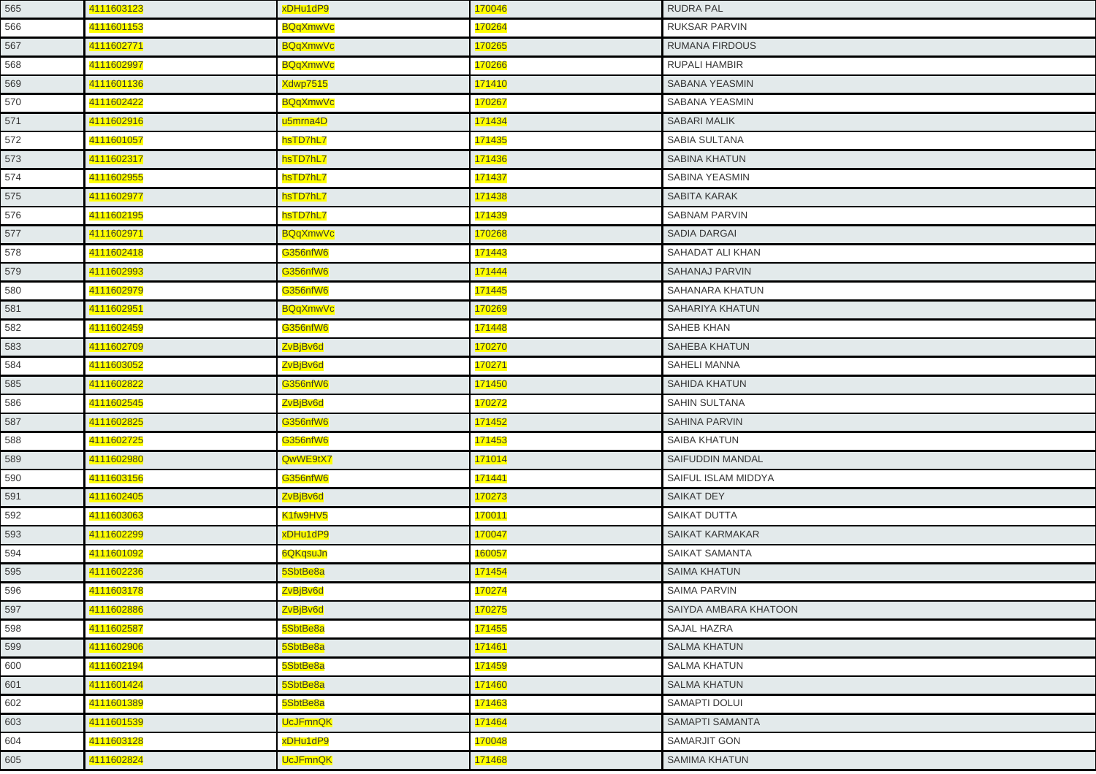| 565 | 4111603123 | xDHu1dP9        | 170046 | <b>RUDRA PAL</b>             |
|-----|------------|-----------------|--------|------------------------------|
| 566 | 4111601153 | BQqXmwVc        | 170264 | <b>RUKSAR PARVIN</b>         |
| 567 | 4111602771 | <b>BQqXmwVc</b> | 170265 | <b>RUMANA FIRDOUS</b>        |
| 568 | 4111602997 | BQqXmwVc        | 170266 | <b>RUPALI HAMBIR</b>         |
| 569 | 4111601136 | <b>Xdwp7515</b> | 171410 | SABANA YEASMIN               |
| 570 | 4111602422 | <b>BQqXmwVc</b> | 170267 | SABANA YEASMIN               |
| 571 | 4111602916 | u5mrna4D        | 171434 | <b>SABARI MALIK</b>          |
| 572 | 4111601057 | hsTD7hL7        | 171435 | SABIA SULTANA                |
| 573 | 4111602317 | hsTD7hL7        | 171436 | <b>SABINA KHATUN</b>         |
| 574 | 4111602955 | hsTD7hL7        | 171437 | SABINA YEASMIN               |
| 575 | 4111602977 | hsTD7hL7        | 171438 | SABITA KARAK                 |
| 576 | 4111602195 | hsTD7hL7        | 171439 | <b>SABNAM PARVIN</b>         |
| 577 | 4111602971 | <b>BQqXmwVc</b> | 170268 | <b>SADIA DARGAI</b>          |
| 578 | 4111602418 | <b>G356nfW6</b> | 171443 | SAHADAT ALI KHAN             |
| 579 | 4111602993 | <b>G356nfW6</b> | 171444 | <b>SAHANAJ PARVIN</b>        |
| 580 | 4111602979 | G356nfW6        | 171445 | SAHANARA KHATUN              |
| 581 | 4111602951 | <b>BQqXmwVc</b> | 170269 | <b>SAHARIYA KHATUN</b>       |
| 582 | 4111602459 | G356nfW6        | 171448 | <b>SAHEB KHAN</b>            |
| 583 | 4111602709 | ZvBjBv6d        | 170270 | <b>SAHEBA KHATUN</b>         |
| 584 | 4111603052 | ZvBjBv6d        | 170271 | <b>SAHELI MANNA</b>          |
| 585 | 4111602822 | <b>G356nfW6</b> | 171450 | <b>SAHIDA KHATUN</b>         |
| 586 | 4111602545 | ZvBjBv6d        | 170272 | SAHIN SULTANA                |
| 587 | 4111602825 | G356nfW6        | 171452 | <b>SAHINA PARVIN</b>         |
| 588 | 4111602725 | G356nfW6        | 171453 | SAIBA KHATUN                 |
| 589 | 4111602980 | QwWE9tX7        | 171014 | SAIFUDDIN MANDAL             |
| 590 | 4111603156 | G356nfW6        | 171441 | SAIFUL ISLAM MIDDYA          |
| 591 | 4111602405 | ZvBjBv6d        | 170273 | SAIKAT DEY                   |
| 592 | 4111603063 | K1fw9HV5        | 170011 | <b>SAIKAT DUTTA</b>          |
| 593 | 4111602299 | xDHu1dP9        | 170047 | <b>SAIKAT KARMAKAR</b>       |
| 594 | 4111601092 | 6QKqsuJn        | 160057 | SAIKAT SAMANTA               |
| 595 | 4111602236 | 5SbtBe8a        | 171454 | <b>SAIMA KHATUN</b>          |
| 596 | 4111603178 | ZvBjBv6d        | 170274 | SAIMA PARVIN                 |
| 597 | 4111602886 | ZvBjBv6d        | 170275 | <b>SAIYDA AMBARA KHATOON</b> |
| 598 | 4111602587 | 5SbtBe8a        | 171455 | <b>SAJAL HAZRA</b>           |
| 599 | 4111602906 | 5SbtBe8a        | 171461 | <b>SALMA KHATUN</b>          |
| 600 | 4111602194 | 5SbtBe8a        | 171459 | <b>SALMA KHATUN</b>          |
| 601 | 4111601424 | 5SbtBe8a        | 171460 | <b>SALMA KHATUN</b>          |
| 602 | 4111601389 | 5SbtBe8a        | 171463 | <b>SAMAPTI DOLUI</b>         |
| 603 | 4111601539 | <b>UcJFmnQK</b> | 171464 | SAMAPTI SAMANTA              |
| 604 | 4111603128 | xDHu1dP9        | 170048 | SAMARJIT GON                 |
| 605 | 4111602824 | <b>UcJFmnQK</b> | 171468 | <b>SAMIMA KHATUN</b>         |
|     |            |                 |        |                              |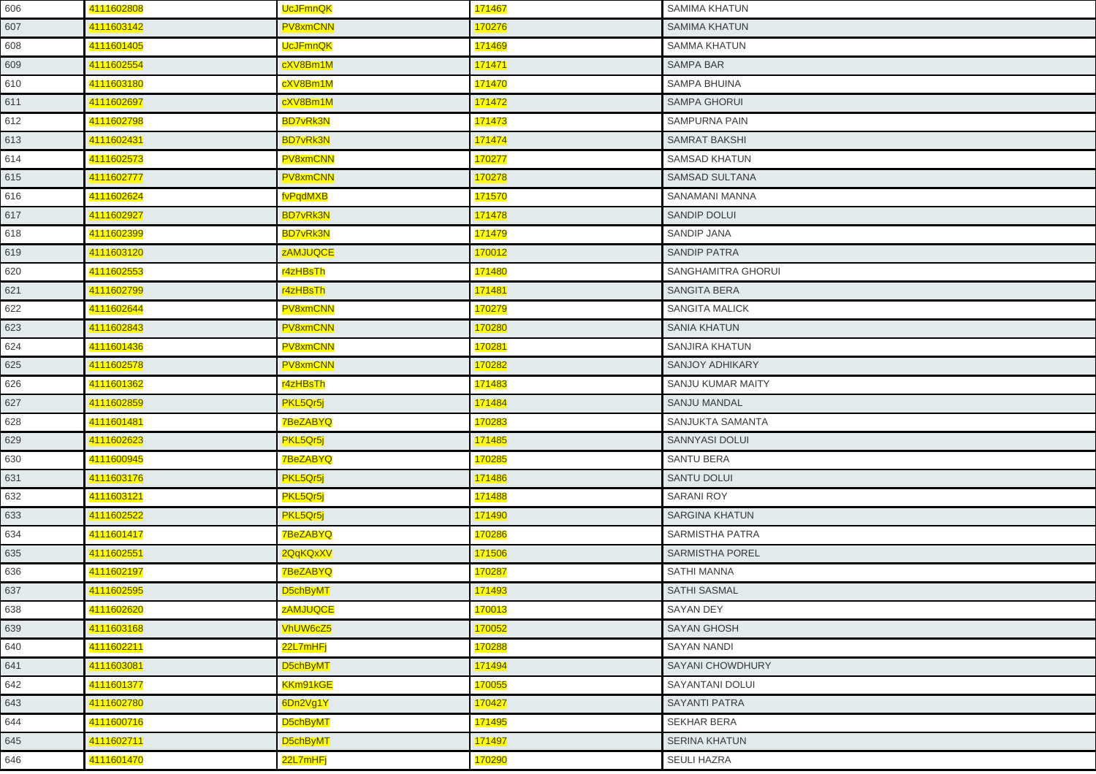| 606 | 4111602808 | <b>UcJFmnQK</b> | 171467              | <b>SAMIMA KHATUN</b>   |
|-----|------------|-----------------|---------------------|------------------------|
| 607 | 4111603142 | PV8xmCNN        | 170276              | <b>SAMIMA KHATUN</b>   |
| 608 | 4111601405 | <b>UcJFmnQK</b> | 171469              | <b>SAMMA KHATUN</b>    |
| 609 | 4111602554 | cXV8Bm1M        | 171471              | <b>SAMPA BAR</b>       |
| 610 | 4111603180 | cXV8Bm1M        | 171470              | SAMPA BHUINA           |
| 611 | 4111602697 | cXV8Bm1M        | 171472              | <b>SAMPA GHORUI</b>    |
| 612 | 4111602798 | <b>BD7vRk3N</b> | 171473              | SAMPURNA PAIN          |
| 613 | 4111602431 | <b>BD7vRk3N</b> | 171474              | <b>SAMRAT BAKSHI</b>   |
| 614 | 4111602573 | PV8xmCNN        | <mark>170277</mark> | <b>SAMSAD KHATUN</b>   |
| 615 | 4111602777 | PV8xmCNN        | 170278              | SAMSAD SULTANA         |
| 616 | 4111602624 | fvPqdMXB        | 171570              | SANAMANI MANNA         |
| 617 | 4111602927 | <b>BD7vRk3N</b> | 171478              | <b>SANDIP DOLUI</b>    |
| 618 | 4111602399 | <b>BD7vRk3N</b> | 171479              | <b>SANDIP JANA</b>     |
| 619 | 4111603120 | <b>ZAMJUQCE</b> | 170012              | <b>SANDIP PATRA</b>    |
| 620 | 4111602553 | r4zHBsTh        | 171480              | SANGHAMITRA GHORUI     |
| 621 | 4111602799 | r4zHBsTh        | 171481              | <b>SANGITA BERA</b>    |
| 622 | 4111602644 | PV8xmCNN        | 170279              | <b>SANGITA MALICK</b>  |
| 623 | 4111602843 | PV8xmCNN        | 170280              | <b>SANIA KHATUN</b>    |
| 624 | 4111601436 | PV8xmCNN        | 170281              | SANJIRA KHATUN         |
| 625 | 4111602578 | <b>PV8xmCNN</b> | 170282              | <b>SANJOY ADHIKARY</b> |
| 626 | 4111601362 | r4zHBsTh        | 171483              | SANJU KUMAR MAITY      |
| 627 | 4111602859 | PKL5Qr5j        | 171484              | <b>SANJU MANDAL</b>    |
| 628 | 4111601481 | <b>7BeZABYQ</b> | 170283              | SANJUKTA SAMANTA       |
| 629 | 4111602623 | PKL5Qr5j        | 171485              | SANNYASI DOLUI         |
| 630 | 4111600945 | <b>7BeZABYQ</b> | 170285              | <b>SANTU BERA</b>      |
| 631 | 4111603176 | PKL5Qr5j        | 171486              | <b>SANTU DOLUI</b>     |
| 632 | 4111603121 | PKL5Qr5j        | 171488              | <b>SARANI ROY</b>      |
| 633 | 4111602522 | PKL5Qr5j        | 171490              | <b>SARGINA KHATUN</b>  |
| 634 | 4111601417 | <b>7BeZABYQ</b> | 170286              | SARMISTHA PATRA        |
| 635 | 4111602551 | 2QqKQxXV        | 171506              | <b>SARMISTHA POREL</b> |
| 636 | 4111602197 | 7BeZABYQ        | 170287              | <b>SATHI MANNA</b>     |
| 637 | 4111602595 | D5chByMT        | 171493              | <b>SATHI SASMAL</b>    |
| 638 | 4111602620 | zAMJUQCE        | 170013              | <b>SAYAN DEY</b>       |
| 639 | 4111603168 | VhUW6cZ5        | 170052              | <b>SAYAN GHOSH</b>     |
| 640 | 4111602211 | 22L7mHFj        | 170288              | <b>SAYAN NANDI</b>     |
| 641 | 4111603081 | D5chByMT        | 171494              | SAYANI CHOWDHURY       |
| 642 | 4111601377 | KKm91kGE        | 170055              | <b>SAYANTANI DOLUI</b> |
| 643 | 4111602780 | 6Dn2Vg1Y        | 170427              | <b>SAYANTI PATRA</b>   |
| 644 | 4111600716 | D5chByMT        | 171495              | SEKHAR BERA            |
| 645 | 4111602711 | D5chByMT        | 171497              | <b>SERINA KHATUN</b>   |
| 646 | 4111601470 | 22L7mHFj        | 170290              | <b>SEULI HAZRA</b>     |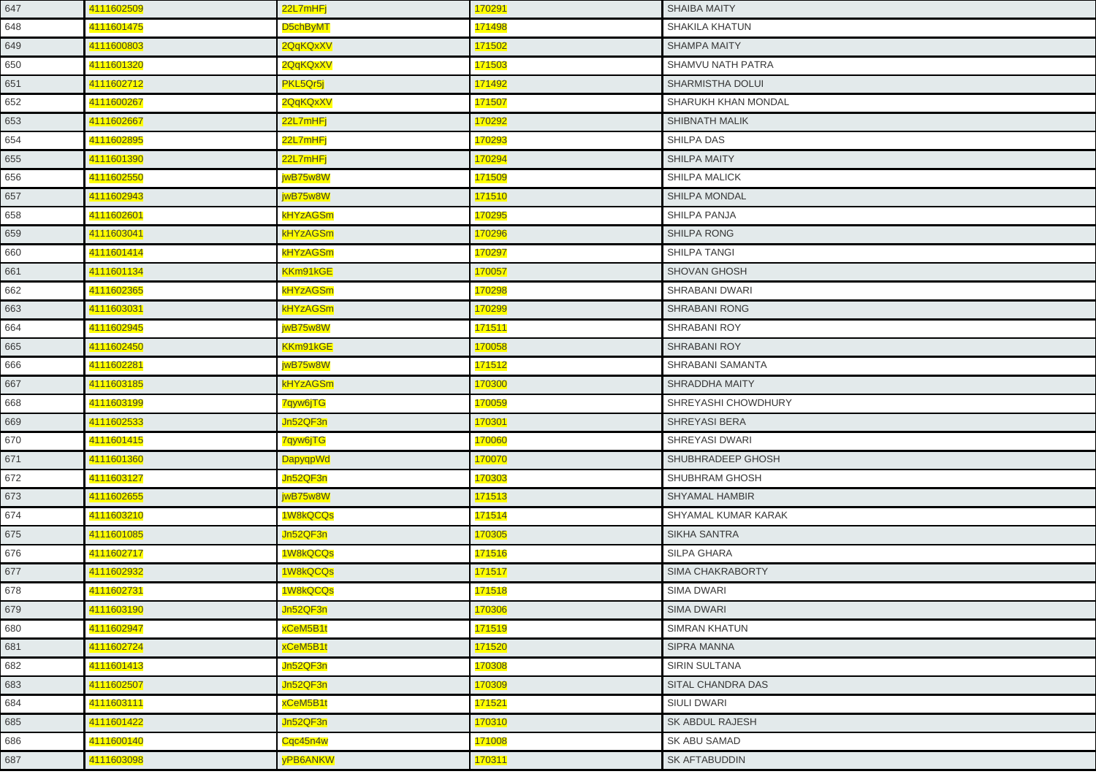| 647 | 4111602509 | 22L7mHFj        | 170291 | <b>SHAIBA MAITY</b>        |
|-----|------------|-----------------|--------|----------------------------|
| 648 | 4111601475 | D5chByMT        | 171498 | <b>SHAKILA KHATUN</b>      |
| 649 | 4111600803 | 2QqKQxXV        | 171502 | <b>SHAMPA MAITY</b>        |
| 650 | 4111601320 | 2QqKQxXV        | 171503 | SHAMVU NATH PATRA          |
| 651 | 4111602712 | PKL5Qr5j        | 171492 | <b>SHARMISTHA DOLUI</b>    |
| 652 | 4111600267 | 2QqKQxXV        | 171507 | SHARUKH KHAN MONDAL        |
| 653 | 4111602667 | 22L7mHFj        | 170292 | SHIBNATH MALIK             |
| 654 | 4111602895 | 22L7mHFj        | 170293 | SHILPA DAS                 |
| 655 | 4111601390 | 22L7mHFj        | 170294 | <b>SHILPA MAITY</b>        |
| 656 | 4111602550 | jwB75w8W        | 171509 | SHILPA MALICK              |
| 657 | 4111602943 | jwB75w8W        | 171510 | <b>SHILPA MONDAL</b>       |
| 658 | 4111602601 | <b>kHYzAGSm</b> | 170295 | SHILPA PANJA               |
| 659 | 4111603041 | <b>kHYzAGSm</b> | 170296 | <b>SHILPA RONG</b>         |
| 660 | 4111601414 | kHYzAGSm        | 170297 | SHILPA TANGI               |
| 661 | 4111601134 | KKm91kGE        | 170057 | <b>SHOVAN GHOSH</b>        |
| 662 | 4111602365 | kHYzAGSm        | 170298 | SHRABANI DWARI             |
| 663 | 4111603031 | <b>kHYzAGSm</b> | 170299 | <b>SHRABANI RONG</b>       |
| 664 | 4111602945 | jwB75w8W        | 171511 | <b>SHRABANI ROY</b>        |
| 665 | 4111602450 | KKm91kGE        | 170058 | <b>SHRABANI ROY</b>        |
| 666 | 4111602281 | jwB75w8W        | 171512 | <b>SHRABANI SAMANTA</b>    |
| 667 | 4111603185 | <b>kHYzAGSm</b> | 170300 | SHRADDHA MAITY             |
| 668 | 4111603199 | 7qyw6jTG        | 170059 | SHREYASHI CHOWDHURY        |
| 669 | 4111602533 | Jn52QF3n        | 170301 | <b>SHREYASI BERA</b>       |
| 670 | 4111601415 | 7qyw6jTG        | 170060 | SHREYASI DWARI             |
| 671 | 4111601360 | DapyqpWd        | 170070 | SHUBHRADEEP GHOSH          |
| 672 | 4111603127 | Jn52QF3n        | 170303 | SHUBHRAM GHOSH             |
| 673 | 4111602655 | jwB75w8W        | 171513 | <b>SHYAMAL HAMBIR</b>      |
| 674 | 4111603210 | 1W8kQCQs        | 171514 | <b>SHYAMAL KUMAR KARAK</b> |
| 675 | 4111601085 | Jn52QF3n        | 170305 | SIKHA SANTRA               |
| 676 | 4111602717 | 1W8kQCQs        | 171516 | <b>SILPA GHARA</b>         |
| 677 | 4111602932 | 1W8kQCQs        | 171517 | SIMA CHAKRABORTY           |
| 678 | 4111602731 | 1W8kQCQs        | 171518 | <b>SIMA DWARI</b>          |
| 679 | 4111603190 | Jn52QF3n        | 170306 | <b>SIMA DWARI</b>          |
| 680 | 4111602947 | xCeM5B1t        | 171519 | <b>SIMRAN KHATUN</b>       |
| 681 | 4111602724 | xCeM5B1t        | 171520 | <b>SIPRA MANNA</b>         |
| 682 | 4111601413 | Jn52QF3n        | 170308 | <b>SIRIN SULTANA</b>       |
| 683 | 4111602507 | Jn52QF3n        | 170309 | <b>SITAL CHANDRA DAS</b>   |
| 684 | 4111603111 | xCeM5B1t        | 171521 | SIULI DWARI                |
| 685 | 4111601422 | Jn52QF3n        | 170310 | SK ABDUL RAJESH            |
| 686 | 4111600140 | Cqc45n4w        | 171008 | SK ABU SAMAD               |
| 687 | 4111603098 | yPB6ANKW        | 170311 | <b>SK AFTABUDDIN</b>       |
|     |            |                 |        |                            |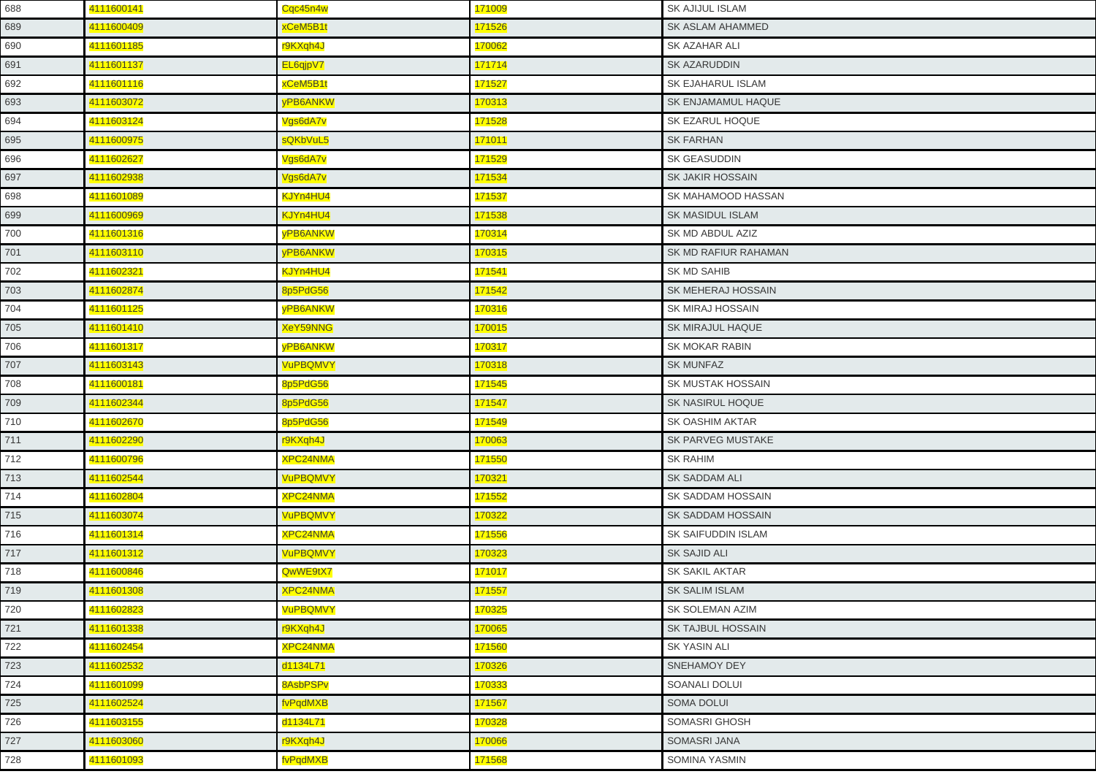| 688 | 4111600141 | Cqc45n4w        | 171009 | <b>SK AJIJUL ISLAM</b>   |
|-----|------------|-----------------|--------|--------------------------|
| 689 | 4111600409 | xCeM5B1t        | 171526 | <b>SK ASLAM AHAMMED</b>  |
| 690 | 4111601185 | r9KXqh4J        | 170062 | SK AZAHAR ALI            |
| 691 | 4111601137 | EL6qjpV7        | 171714 | SK AZARUDDIN             |
| 692 | 4111601116 | xCeM5B1t        | 171527 | SK EJAHARUL ISLAM        |
| 693 | 4111603072 | yPB6ANKW        | 170313 | SK ENJAMAMUL HAQUE       |
| 694 | 4111603124 | Vgs6dA7v        | 171528 | SK EZARUL HOQUE          |
| 695 | 4111600975 | sQKbVuL5        | 171011 | <b>SK FARHAN</b>         |
| 696 | 4111602627 | Vgs6dA7v        | 171529 | <b>SK GEASUDDIN</b>      |
| 697 | 4111602938 | Vgs6dA7v        | 171534 | <b>SK JAKIR HOSSAIN</b>  |
| 698 | 4111601089 | KJYn4HU4        | 171537 | SK MAHAMOOD HASSAN       |
| 699 | 4111600969 | KJYn4HU4        | 171538 | <b>SK MASIDUL ISLAM</b>  |
| 700 | 4111601316 | yPB6ANKW        | 170314 | SK MD ABDUL AZIZ         |
| 701 | 4111603110 | yPB6ANKW        | 170315 | SK MD RAFIUR RAHAMAN     |
| 702 | 4111602321 | KJYn4HU4        | 171541 | SK MD SAHIB              |
| 703 | 4111602874 | 8p5PdG56        | 171542 | SK MEHERAJ HOSSAIN       |
| 704 | 4111601125 | <b>VPB6ANKW</b> | 170316 | <b>SK MIRAJ HOSSAIN</b>  |
| 705 | 4111601410 | <b>XeY59NNG</b> | 170015 | SK MIRAJUL HAQUE         |
| 706 | 4111601317 | <b>VPB6ANKW</b> | 170317 | SK MOKAR RABIN           |
| 707 | 4111603143 | <b>VuPBQMVY</b> | 170318 | <b>SK MUNFAZ</b>         |
| 708 | 4111600181 | 8p5PdG56        | 171545 | <b>SK MUSTAK HOSSAIN</b> |
| 709 | 4111602344 | 8p5PdG56        | 171547 | SK NASIRUL HOQUE         |
| 710 | 4111602670 | 8p5PdG56        | 171549 | SK OASHIM AKTAR          |
| 711 | 4111602290 | r9KXqh4J        | 170063 | <b>SK PARVEG MUSTAKE</b> |
| 712 | 4111600796 | <b>XPC24NMA</b> | 171550 | <b>SK RAHIM</b>          |
| 713 | 4111602544 | <b>VuPBQMVY</b> | 170321 | <b>SK SADDAM ALI</b>     |
| 714 | 4111602804 | <b>XPC24NMA</b> | 171552 | SK SADDAM HOSSAIN        |
| 715 | 4111603074 | <b>VuPBQMVY</b> | 170322 | SK SADDAM HOSSAIN        |
| 716 | 4111601314 | XPC24NMA        | 171556 | SK SAIFUDDIN ISLAM       |
| 717 | 4111601312 | <b>VuPBQMVY</b> | 170323 | <b>SK SAJID ALI</b>      |
| 718 | 4111600846 | QwWE9tX7        | 171017 | <b>SK SAKIL AKTAR</b>    |
| 719 | 4111601308 | <b>XPC24NMA</b> | 171557 | <b>SK SALIM ISLAM</b>    |
| 720 | 4111602823 | <b>VuPBQMVY</b> | 170325 | <b>SK SOLEMAN AZIM</b>   |
| 721 | 4111601338 | r9KXqh4J        | 170065 | SK TAJBUL HOSSAIN        |
| 722 | 4111602454 | <b>XPC24NMA</b> | 171560 | <b>SK YASIN ALI</b>      |
| 723 | 4111602532 | d1134L71        | 170326 | <b>SNEHAMOY DEY</b>      |
| 724 | 4111601099 | 8AsbPSPv        | 170333 | SOANALI DOLUI            |
| 725 | 4111602524 | fvPqdMXB        | 171567 | <b>SOMA DOLUI</b>        |
| 726 | 4111603155 | d1134L71        | 170328 | SOMASRI GHOSH            |
| 727 | 4111603060 | r9KXqh4J        | 170066 | SOMASRI JANA             |
| 728 | 4111601093 | fvPqdMXB        | 171568 | <b>SOMINA YASMIN</b>     |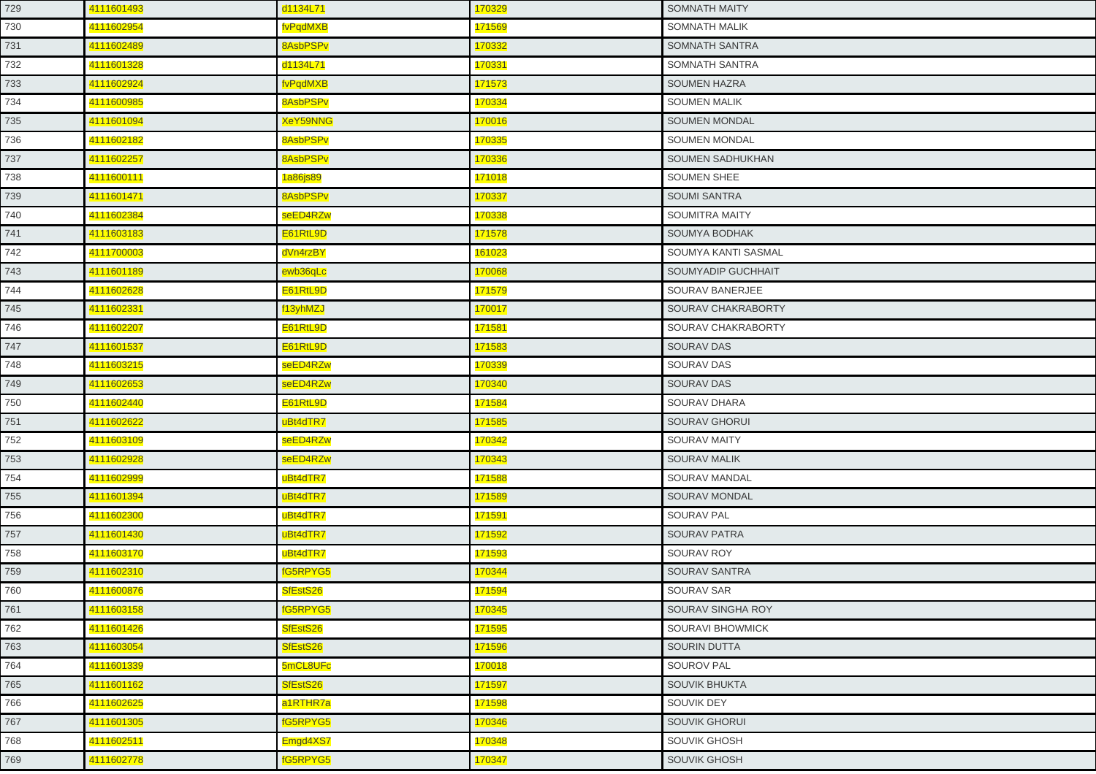| 729 | 4111601493 | d1134L71        | 170329 | <b>SOMNATH MAITY</b>    |
|-----|------------|-----------------|--------|-------------------------|
| 730 | 4111602954 | fvPqdMXB        | 171569 | <b>SOMNATH MALIK</b>    |
| 731 | 4111602489 | 8AsbPSPv        | 170332 | SOMNATH SANTRA          |
| 732 | 4111601328 | d1134L71        | 170331 | SOMNATH SANTRA          |
| 733 | 4111602924 | fvPqdMXB        | 171573 | <b>SOUMEN HAZRA</b>     |
| 734 | 4111600985 | 8AsbPSPv        | 170334 | <b>SOUMEN MALIK</b>     |
| 735 | 4111601094 | <b>XeY59NNG</b> | 170016 | <b>SOUMEN MONDAL</b>    |
| 736 | 4111602182 | 8AsbPSPv        | 170335 | <b>SOUMEN MONDAL</b>    |
| 737 | 4111602257 | 8AsbPSPv        | 170336 | <b>SOUMEN SADHUKHAN</b> |
| 738 | 4111600111 | 1a86js89        | 171018 | <b>SOUMEN SHEE</b>      |
| 739 | 4111601471 | 8AsbPSPv        | 170337 | <b>SOUMI SANTRA</b>     |
| 740 | 4111602384 | seED4RZw        | 170338 | SOUMITRA MAITY          |
| 741 | 4111603183 | E61RtL9D        | 171578 | <b>SOUMYA BODHAK</b>    |
| 742 | 4111700003 | dVn4rzBY        | 161023 | SOUMYA KANTI SASMAL     |
| 743 | 4111601189 | ewb36qLc        | 170068 | SOUMYADIP GUCHHAIT      |
| 744 | 4111602628 | E61RtL9D        | 171579 | SOURAV BANERJEE         |
| 745 | 4111602331 | f13yhMZJ        | 170017 | SOURAV CHAKRABORTY      |
| 746 | 4111602207 | E61RtL9D        | 171581 | SOURAV CHAKRABORTY      |
| 747 | 4111601537 | E61RtL9D        | 171583 | <b>SOURAV DAS</b>       |
| 748 | 4111603215 | seED4RZw        | 170339 | <b>SOURAV DAS</b>       |
| 749 | 4111602653 | seED4RZw        | 170340 | <b>SOURAV DAS</b>       |
| 750 | 4111602440 | E61RtL9D        | 171584 | SOURAV DHARA            |
| 751 | 4111602622 | uBt4dTR7        | 171585 | <b>SOURAV GHORUI</b>    |
| 752 | 4111603109 | seED4RZw        | 170342 | <b>SOURAV MAITY</b>     |
| 753 | 4111602928 | seED4RZw        | 170343 | <b>SOURAV MALIK</b>     |
| 754 | 4111602999 | uBt4dTR7        | 171588 | SOURAV MANDAL           |
| 755 | 4111601394 | uBt4dTR7        | 171589 | SOURAV MONDAL           |
| 756 | 4111602300 | uBt4dTR7        | 171591 | <b>SOURAV PAL</b>       |
| 757 | 4111601430 | uBt4dTR7        | 171592 | <b>SOURAV PATRA</b>     |
| 758 | 4111603170 | uBt4dTR7        | 171593 | <b>SOURAV ROY</b>       |
| 759 | 4111602310 | fG5RPYG5        | 170344 | <b>SOURAV SANTRA</b>    |
| 760 | 4111600876 | SfEstS26        | 171594 | <b>SOURAV SAR</b>       |
| 761 | 4111603158 | fG5RPYG5        | 170345 | SOURAV SINGHA ROY       |
| 762 | 4111601426 | SfEstS26        | 171595 | SOURAVI BHOWMICK        |
| 763 | 4111603054 | SfEstS26        | 171596 | <b>SOURIN DUTTA</b>     |
| 764 | 4111601339 | 5mCL8UFc        | 170018 | <b>SOUROV PAL</b>       |
| 765 | 4111601162 | SfEstS26        | 171597 | <b>SOUVIK BHUKTA</b>    |
| 766 | 4111602625 | a1RTHR7a        | 171598 | SOUVIK DEY              |
| 767 | 4111601305 | fG5RPYG5        | 170346 | <b>SOUVIK GHORUI</b>    |
| 768 | 4111602511 | Emgd4XS7        | 170348 | SOUVIK GHOSH            |
| 769 | 4111602778 | fG5RPYG5        | 170347 | <b>SOUVIK GHOSH</b>     |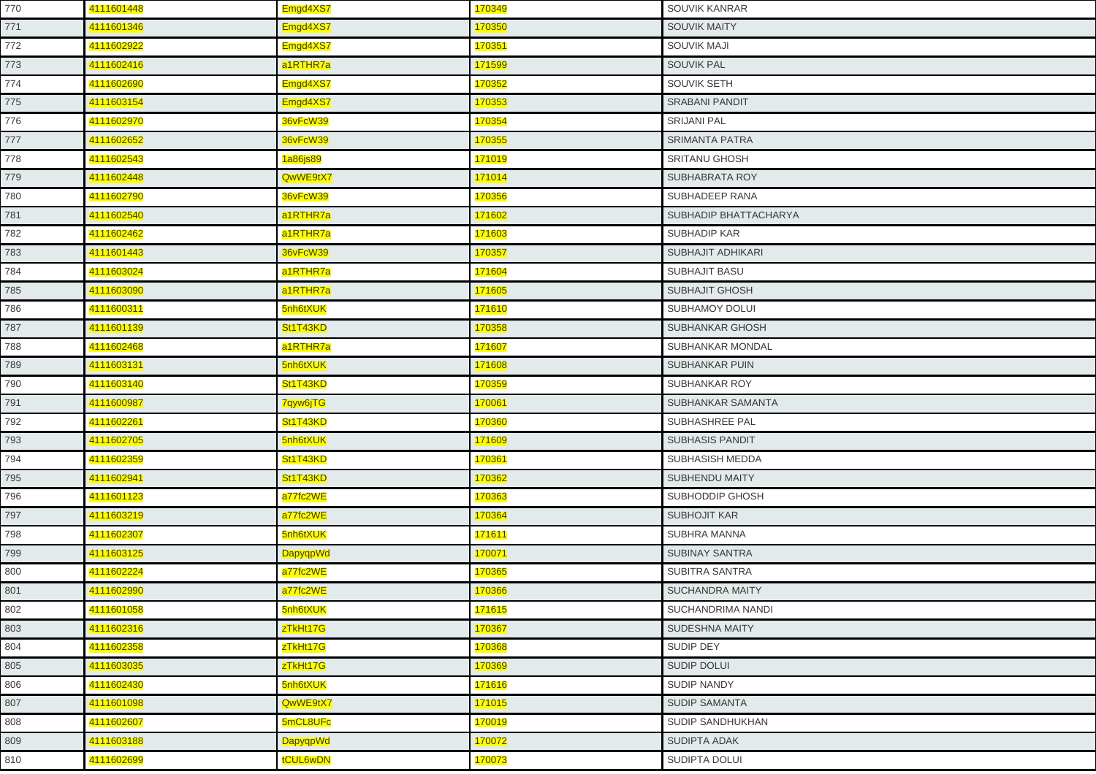| 770 | 4111601448 | Emgd4XS7 | 170349 | SOUVIK KANRAR            |
|-----|------------|----------|--------|--------------------------|
| 771 | 4111601346 | Emgd4XS7 | 170350 | <b>SOUVIK MAITY</b>      |
| 772 | 4111602922 | Emgd4XS7 | 170351 | <b>SOUVIK MAJI</b>       |
| 773 | 4111602416 | a1RTHR7a | 171599 | <b>SOUVIK PAL</b>        |
| 774 | 4111602690 | Emgd4XS7 | 170352 | <b>SOUVIK SETH</b>       |
| 775 | 4111603154 | Emgd4XS7 | 170353 | <b>SRABANI PANDIT</b>    |
| 776 | 4111602970 | 36vFcW39 | 170354 | <b>SRIJANI PAL</b>       |
| 777 | 4111602652 | 36vFcW39 | 170355 | <b>SRIMANTA PATRA</b>    |
| 778 | 4111602543 | 1a86js89 | 171019 | <b>SRITANU GHOSH</b>     |
| 779 | 4111602448 | QwWE9tX7 | 171014 | SUBHABRATA ROY           |
| 780 | 4111602790 | 36vFcW39 | 170356 | SUBHADEEP RANA           |
| 781 | 4111602540 | a1RTHR7a | 171602 | SUBHADIP BHATTACHARYA    |
| 782 | 4111602462 | a1RTHR7a | 171603 | <b>SUBHADIP KAR</b>      |
| 783 | 4111601443 | 36vFcW39 | 170357 | SUBHAJIT ADHIKARI        |
| 784 | 4111603024 | a1RTHR7a | 171604 | <b>SUBHAJIT BASU</b>     |
| 785 | 4111603090 | a1RTHR7a | 171605 | <b>SUBHAJIT GHOSH</b>    |
| 786 | 4111600311 | 5nh6tXUK | 171610 | <b>SUBHAMOY DOLUI</b>    |
| 787 | 4111601139 | St1T43KD | 170358 | SUBHANKAR GHOSH          |
| 788 | 4111602468 | a1RTHR7a | 171607 | SUBHANKAR MONDAL         |
| 789 | 4111603131 | 5nh6tXUK | 171608 | <b>SUBHANKAR PUIN</b>    |
| 790 | 4111603140 | St1T43KD | 170359 | SUBHANKAR ROY            |
| 791 | 4111600987 | 7qyw6jTG | 170061 | SUBHANKAR SAMANTA        |
| 792 | 4111602261 | St1T43KD | 170360 | <b>SUBHASHREE PAL</b>    |
| 793 | 4111602705 | 5nh6tXUK | 171609 | <b>SUBHASIS PANDIT</b>   |
| 794 | 4111602359 | St1T43KD | 170361 | SUBHASISH MEDDA          |
| 795 | 4111602941 | St1T43KD | 170362 | <b>SUBHENDU MAITY</b>    |
| 796 | 4111601123 | a77fc2WE | 170363 | SUBHODDIP GHOSH          |
| 797 | 4111603219 | a77fc2WE | 170364 | <b>SUBHOJIT KAR</b>      |
| 798 | 4111602307 | 5nh6tXUK | 171611 | SUBHRA MANNA             |
| 799 | 4111603125 | DapyqpWd | 170071 | <b>SUBINAY SANTRA</b>    |
| 800 | 4111602224 | a77fc2WE | 170365 | SUBITRA SANTRA           |
| 801 | 4111602990 | a77fc2WE | 170366 | <b>SUCHANDRA MAITY</b>   |
| 802 | 4111601058 | 5nh6tXUK | 171615 | <b>SUCHANDRIMA NANDI</b> |
| 803 | 4111602316 | zTkHt17G | 170367 | <b>SUDESHNA MAITY</b>    |
| 804 | 4111602358 | zTkHt17G | 170368 | SUDIP DEY                |
| 805 | 4111603035 | zTkHt17G | 170369 | <b>SUDIP DOLUI</b>       |
| 806 | 4111602430 | 5nh6tXUK | 171616 | <b>SUDIP NANDY</b>       |
| 807 | 4111601098 | QwWE9tX7 | 171015 | <b>SUDIP SAMANTA</b>     |
| 808 | 4111602607 | 5mCL8UFc | 170019 | SUDIP SANDHUKHAN         |
| 809 | 4111603188 | DapyqpWd | 170072 | <b>SUDIPTA ADAK</b>      |
| 810 | 4111602699 | tCUL6wDN | 170073 | <b>SUDIPTA DOLUI</b>     |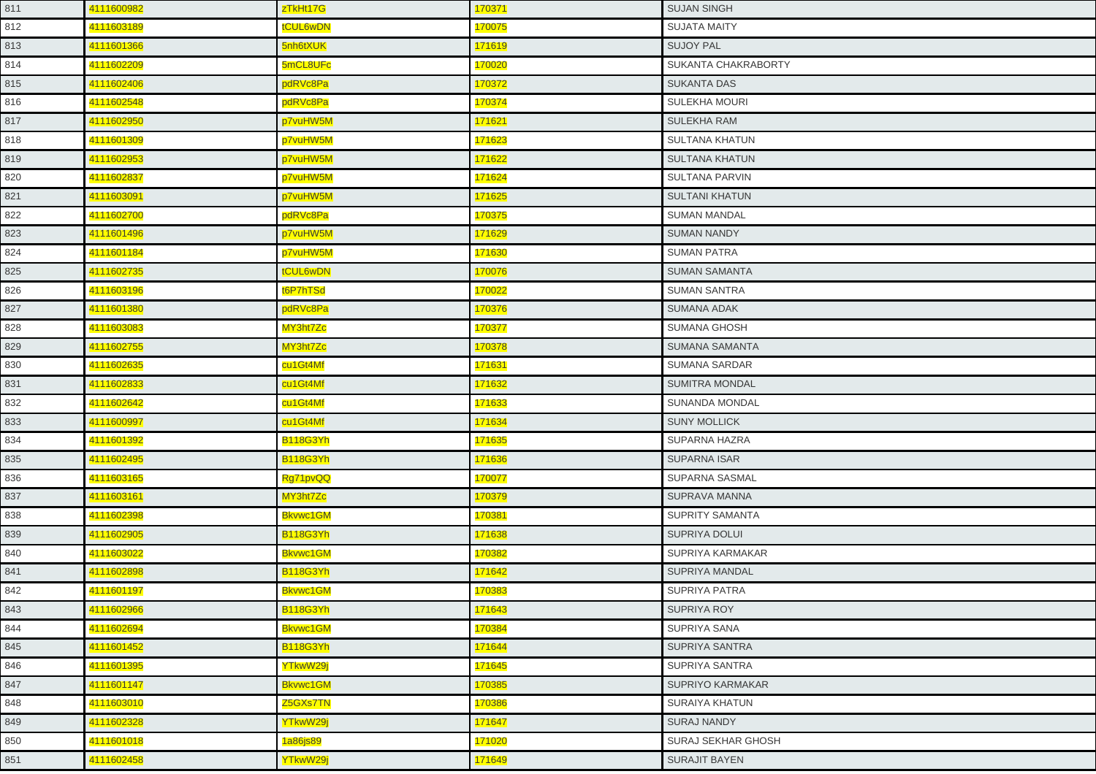| 811 | 4111600982 | zTkHt17G        | 170371 | <b>SUJAN SINGH</b>      |
|-----|------------|-----------------|--------|-------------------------|
| 812 | 4111603189 | tCUL6wDN        | 170075 | <b>SUJATA MAITY</b>     |
| 813 | 4111601366 | 5nh6tXUK        | 171619 | <b>SUJOY PAL</b>        |
| 814 | 4111602209 | 5mCL8UFc        | 170020 | SUKANTA CHAKRABORTY     |
| 815 | 4111602406 | pdRVc8Pa        | 170372 | <b>SUKANTA DAS</b>      |
| 816 | 4111602548 | pdRVc8Pa        | 170374 | SULEKHA MOURI           |
| 817 | 4111602950 | p7vuHW5M        | 171621 | SULEKHA RAM             |
| 818 | 4111601309 | p7vuHW5M        | 171623 | SULTANA KHATUN          |
| 819 | 4111602953 | p7vuHW5M        | 171622 | <b>SULTANA KHATUN</b>   |
| 820 | 4111602837 | p7vuHW5M        | 171624 | <b>SULTANA PARVIN</b>   |
| 821 | 4111603091 | p7vuHW5M        | 171625 | <b>SULTANI KHATUN</b>   |
| 822 | 4111602700 | pdRVc8Pa        | 170375 | <b>SUMAN MANDAL</b>     |
| 823 | 4111601496 | p7vuHW5M        | 171629 | <b>SUMAN NANDY</b>      |
| 824 | 4111601184 | p7vuHW5M        | 171630 | <b>SUMAN PATRA</b>      |
| 825 | 4111602735 | tCUL6wDN        | 170076 | <b>SUMAN SAMANTA</b>    |
| 826 | 4111603196 | t6P7hTSd        | 170022 | <b>SUMAN SANTRA</b>     |
| 827 | 4111601380 | pdRVc8Pa        | 170376 | <b>SUMANA ADAK</b>      |
| 828 | 4111603083 | MY3ht7Zc        | 170377 | <b>SUMANA GHOSH</b>     |
| 829 | 4111602755 | MY3ht7Zc        | 170378 | SUMANA SAMANTA          |
| 830 | 4111602635 | cu1Gt4Mf        | 171631 | <b>SUMANA SARDAR</b>    |
| 831 | 4111602833 | cu1Gt4Mf        | 171632 | <b>SUMITRA MONDAL</b>   |
| 832 | 4111602642 | cu1Gt4Mf        | 171633 | SUNANDA MONDAL          |
| 833 | 4111600997 | cu1Gt4Mf        | 171634 | <b>SUNY MOLLICK</b>     |
| 834 | 4111601392 | <b>B118G3Yh</b> | 171635 | SUPARNA HAZRA           |
| 835 | 4111602495 | <b>B118G3Yh</b> | 171636 | <b>SUPARNA ISAR</b>     |
| 836 | 4111603165 | Rg71pvQQ        | 170077 | SUPARNA SASMAL          |
| 837 | 4111603161 | MY3ht7Zc        | 170379 | SUPRAVA MANNA           |
| 838 | 4111602398 | Bkvwc1GM        | 170381 | SUPRITY SAMANTA         |
| 839 | 4111602905 | <b>B118G3Yh</b> | 171638 | SUPRIYA DOLUI           |
| 840 | 4111603022 | <b>Bkvwc1GM</b> | 170382 | SUPRIYA KARMAKAR        |
| 841 | 4111602898 | <b>B118G3Yh</b> | 171642 | SUPRIYA MANDAL          |
| 842 | 4111601197 | <b>Bkvwc1GM</b> | 170383 | <b>SUPRIYA PATRA</b>    |
| 843 | 4111602966 | <b>B118G3Yh</b> | 171643 | <b>SUPRIYA ROY</b>      |
| 844 | 4111602694 | Bkvwc1GM        | 170384 | SUPRIYA SANA            |
| 845 | 4111601452 | <b>B118G3Yh</b> | 171644 | SUPRIYA SANTRA          |
| 846 | 4111601395 | YTkwW29j        | 171645 | <b>SUPRIYA SANTRA</b>   |
| 847 | 4111601147 | Bkvwc1GM        | 170385 | <b>SUPRIYO KARMAKAR</b> |
| 848 | 4111603010 | Z5GXs7TN        | 170386 | <b>SURAIYA KHATUN</b>   |
| 849 | 4111602328 | YTkwW29j        | 171647 | <b>SURAJ NANDY</b>      |
| 850 | 4111601018 | 1a86js89        | 171020 | SURAJ SEKHAR GHOSH      |
| 851 | 4111602458 | YTkwW29j        | 171649 | <b>SURAJIT BAYEN</b>    |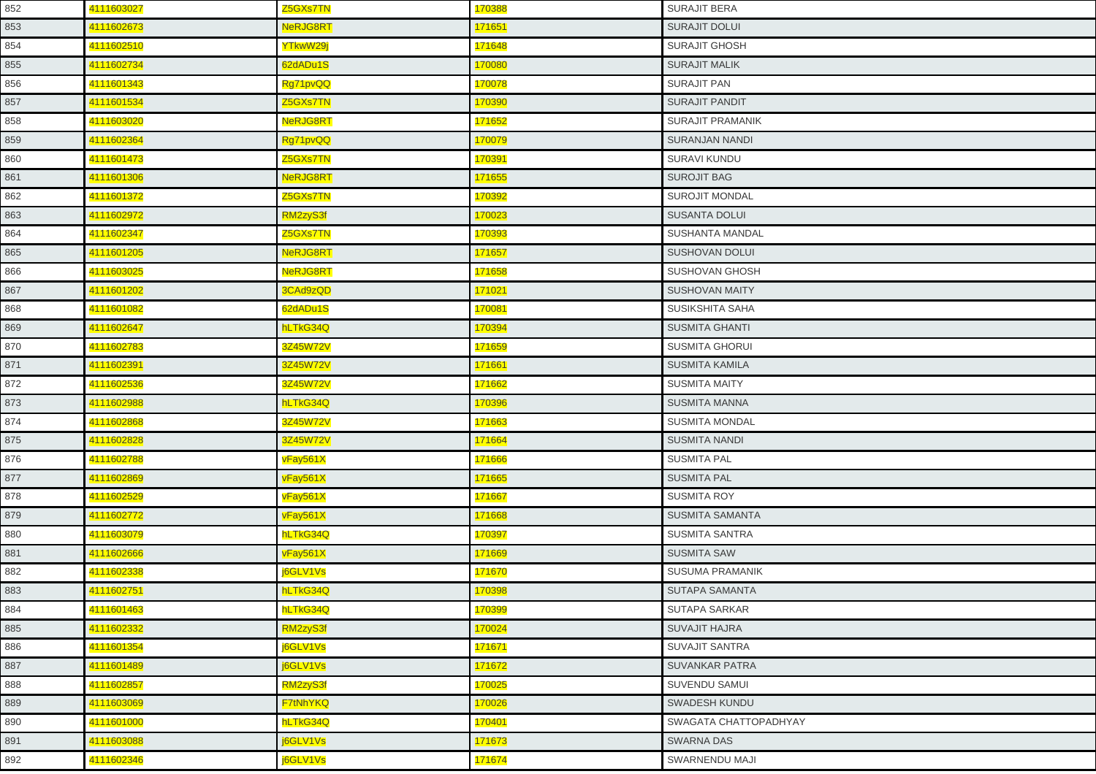| 852 | 4111603027 | Z5GXs7TN        | 170388              | <b>SURAJIT BERA</b>    |
|-----|------------|-----------------|---------------------|------------------------|
| 853 | 4111602673 | NeRJG8RT        | 171651              | SURAJIT DOLUI          |
| 854 | 4111602510 | YTkwW29j        | 171648              | <b>SURAJIT GHOSH</b>   |
| 855 | 4111602734 | 62dADu1S        | 170080              | <b>SURAJIT MALIK</b>   |
| 856 | 4111601343 | Rg71pvQQ        | 170078              | <b>SURAJIT PAN</b>     |
| 857 | 4111601534 | Z5GXs7TN        | 170390              | <b>SURAJIT PANDIT</b>  |
| 858 | 4111603020 | NeRJG8RT        | 171652              | SURAJIT PRAMANIK       |
| 859 | 4111602364 | Rg71pvQQ        | 170079              | <b>SURANJAN NANDI</b>  |
| 860 | 4111601473 | Z5GXs7TN        | <mark>170391</mark> | <b>SURAVI KUNDU</b>    |
| 861 | 4111601306 | NeRJG8RT        | 171655              | <b>SUROJIT BAG</b>     |
| 862 | 4111601372 | Z5GXs7TN        | 170392              | <b>SUROJIT MONDAL</b>  |
| 863 | 4111602972 | RM2zyS3f        | 170023              | <b>SUSANTA DOLUI</b>   |
| 864 | 4111602347 | Z5GXs7TN        | 170393              | <b>SUSHANTA MANDAL</b> |
| 865 | 4111601205 | NeRJG8RT        | 171657              | <b>SUSHOVAN DOLUI</b>  |
| 866 | 4111603025 | <b>NeRJG8RT</b> | 171658              | <b>SUSHOVAN GHOSH</b>  |
| 867 | 4111601202 | 3CAd9zQD        | 171021              | <b>SUSHOVAN MAITY</b>  |
| 868 | 4111601082 | 62dADu1S        | 170081              | SUSIKSHITA SAHA        |
| 869 | 4111602647 | hLTkG34Q        | 170394              | <b>SUSMITA GHANTI</b>  |
| 870 | 4111602783 | 3Z45W72V        | 171659              | <b>SUSMITA GHORUI</b>  |
| 871 | 4111602391 | 3Z45W72V        | 171661              | <b>SUSMITA KAMILA</b>  |
| 872 | 4111602536 | 3Z45W72V        | 171662              | <b>SUSMITA MAITY</b>   |
| 873 | 4111602988 | hLTkG34Q        | 170396              | <b>SUSMITA MANNA</b>   |
| 874 | 4111602868 | 3Z45W72V        | 171663              | <b>SUSMITA MONDAL</b>  |
| 875 | 4111602828 | 3Z45W72V        | 171664              | <b>SUSMITA NANDI</b>   |
| 876 | 4111602788 | vFay561X        | 171666              | <b>SUSMITA PAL</b>     |
| 877 | 4111602869 | vFay561X        | 171665              | <b>SUSMITA PAL</b>     |
| 878 | 4111602529 | vFay561X        | 171667              | <b>SUSMITA ROY</b>     |
| 879 | 4111602772 | vFay561X        | 171668              | <b>SUSMITA SAMANTA</b> |
| 880 | 4111603079 | hLTkG34Q        | 170397              | SUSMITA SANTRA         |
| 881 | 4111602666 | vFay561X        | 171669              | <b>SUSMITA SAW</b>     |
| 882 | 4111602338 | j6GLV1Vs        | 171670              | <b>SUSUMA PRAMANIK</b> |
| 883 | 4111602751 | hLTkG34Q        | 170398              | SUTAPA SAMANTA         |
| 884 | 4111601463 | hLTkG34Q        | 170399              | <b>SUTAPA SARKAR</b>   |
| 885 | 4111602332 | RM2zyS3f        | 170024              | <b>SUVAJIT HAJRA</b>   |
| 886 | 4111601354 | j6GLV1Vs        | 171671              | <b>SUVAJIT SANTRA</b>  |
| 887 | 4111601489 | j6GLV1Vs        | 171672              | <b>SUVANKAR PATRA</b>  |
| 888 | 4111602857 | RM2zyS3f        | 170025              | SUVENDU SAMUI          |
| 889 | 4111603069 | <b>F7tNhYKQ</b> | 170026              | <b>SWADESH KUNDU</b>   |
| 890 | 4111601000 | hLTkG34Q        | 170401              | SWAGATA CHATTOPADHYAY  |
| 891 | 4111603088 | j6GLV1Vs        | 171673              | <b>SWARNA DAS</b>      |
| 892 | 4111602346 | j6GLV1Vs        | 171674              | SWARNENDU MAJI         |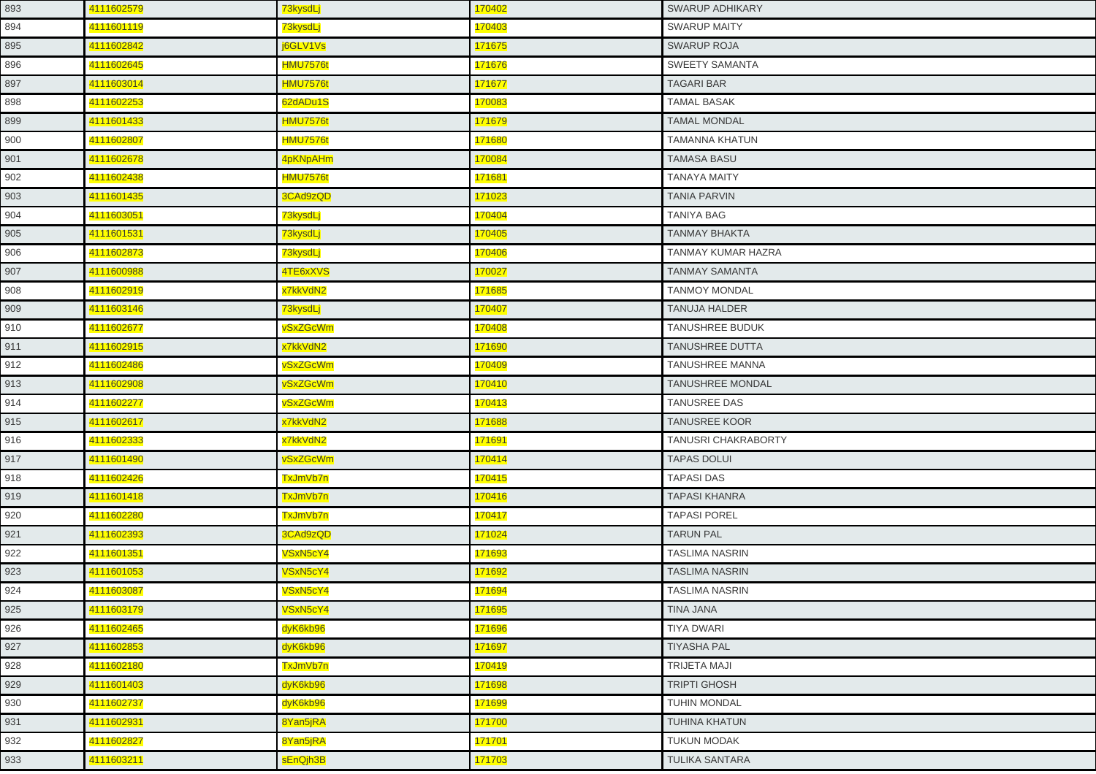| 893 | 4111602579 | 73kysdLj        | 170402        | <b>SWARUP ADHIKARY</b>  |
|-----|------------|-----------------|---------------|-------------------------|
| 894 | 4111601119 | 73kysdLj        | 170403        | <b>SWARUP MAITY</b>     |
| 895 | 4111602842 | j6GLV1Vs        | 171675        | <b>SWARUP ROJA</b>      |
| 896 | 4111602645 | <b>HMU7576t</b> | 171676        | <b>SWEETY SAMANTA</b>   |
| 897 | 4111603014 | <b>HMU7576t</b> | 171677        | <b>TAGARI BAR</b>       |
| 898 | 4111602253 | 62dADu1S        | 170083        | <b>TAMAL BASAK</b>      |
| 899 | 4111601433 | <b>HMU7576t</b> | 171679        | <b>TAMAL MONDAL</b>     |
| 900 | 4111602807 | <b>HMU7576t</b> | 171680        | <b>TAMANNA KHATUN</b>   |
| 901 | 4111602678 | 4pKNpAHm        | 170084        | <b>TAMASA BASU</b>      |
| 902 | 4111602438 | <b>HMU7576t</b> | 171681        | <b>TANAYA MAITY</b>     |
| 903 | 4111601435 | 3CAd9zQD        | 171023        | <b>TANIA PARVIN</b>     |
| 904 | 4111603051 | 73kysdLj        | 170404        | <b>TANIYA BAG</b>       |
| 905 | 4111601531 | 73kysdLj        | 170405        | <b>TANMAY BHAKTA</b>    |
| 906 | 4111602873 | 73kysdLj        | 170406        | TANMAY KUMAR HAZRA      |
| 907 | 4111600988 | 4TE6xXVS        | 170027        | <b>TANMAY SAMANTA</b>   |
| 908 | 4111602919 | x7kkVdN2        | 171685        | <b>TANMOY MONDAL</b>    |
| 909 | 4111603146 | 73kysdLj        | 170407        | <b>TANUJA HALDER</b>    |
| 910 | 4111602677 | vSxZGcWm        | 170408        | <b>TANUSHREE BUDUK</b>  |
| 911 | 4111602915 | x7kkVdN2        | 171690        | <b>TANUSHREE DUTTA</b>  |
| 912 | 4111602486 | vSxZGcWm        | 170409        | TANUSHREE MANNA         |
| 913 | 4111602908 | vSxZGcWm        | 170410        | <b>TANUSHREE MONDAL</b> |
| 914 | 4111602277 | vSxZGcWm        | 170413        | <b>TANUSREE DAS</b>     |
| 915 | 4111602617 | x7kkVdN2        | 171688        | <b>TANUSREE KOOR</b>    |
| 916 | 4111602333 | x7kkVdN2        | 171691        | TANUSRI CHAKRABORTY     |
| 917 | 4111601490 | vSxZGcWm        | 170414        | <b>TAPAS DOLUI</b>      |
| 918 | 4111602426 | TxJmVb7n        | 170415        | <b>TAPASI DAS</b>       |
| 919 | 4111601418 | TxJmVb7n        | 170416        | <b>TAPASI KHANRA</b>    |
| 920 | 4111602280 | TxJmVb7n        | 170417        | <b>TAPASI POREL</b>     |
| 921 | 4111602393 | 3CAd9zQD        | 171024        | <b>TARUN PAL</b>        |
| 922 | 4111601351 | VSxN5cY4        | 171693        | <b>TASLIMA NASRIN</b>   |
| 923 | 4111601053 | VSxN5cY4        | 171692        | <b>TASLIMA NASRIN</b>   |
| 924 | 4111603087 | VSxN5cY4        | <u>171694</u> | TASLIMA NASRIN          |
| 925 | 4111603179 | VSxN5cY4        | 171695        | TINA JANA               |
| 926 | 4111602465 | dyK6kb96        | 171696        | <b>TIYA DWARI</b>       |
| 927 | 4111602853 | dyK6kb96        | 171697        | <b>TIYASHA PAL</b>      |
| 928 | 4111602180 | TxJmVb7n        | 170419        | TRIJETA MAJI            |
| 929 | 4111601403 | dyK6kb96        | 171698        | TRIPTI GHOSH            |
| 930 | 4111602737 | dyK6kb96        | 171699        | TUHIN MONDAL            |
| 931 | 4111602931 | 8Yan5jRA        | 171700        | TUHINA KHATUN           |
| 932 | 4111602827 | 8Yan5jRA        | <b>171701</b> | <b>TUKUN MODAK</b>      |
| 933 | 4111603211 | sEnQjh3B        | 171703        | TULIKA SANTARA          |